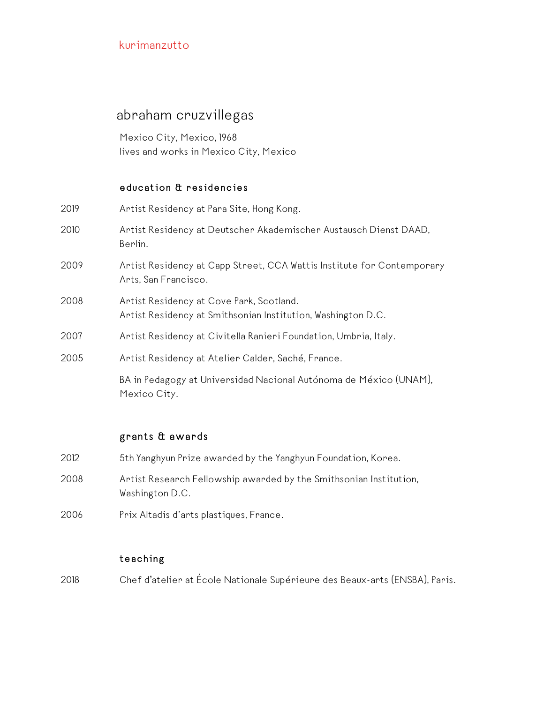# abraham cruzvillegas

Mexico City, Mexico, 1968 lives and works in Mexico City, Mexico

## education & residencies

| Artist Residency at Para Site, Hong Kong.                                                                |
|----------------------------------------------------------------------------------------------------------|
| Artist Residency at Deutscher Akademischer Austausch Dienst DAAD,<br>Berlin.                             |
| Artist Residency at Capp Street, CCA Wattis Institute for Contemporary<br>Arts, San Francisco.           |
| Artist Residency at Cove Park, Scotland.<br>Artist Residency at Smithsonian Institution, Washington D.C. |
| Artist Residency at Civitella Ranieri Foundation, Umbria, Italy.                                         |
| Artist Residency at Atelier Calder, Saché, France.                                                       |
| BA in Pedagogy at Universidad Nacional Autónoma de México (UNAM),<br>Mexico City.                        |
|                                                                                                          |

## grants & awards

| 2012. | 5th Yanghyun Prize awarded by the Yanghyun Foundation, Korea.                         |
|-------|---------------------------------------------------------------------------------------|
| 2008  | Artist Research Fellowship awarded by the Smithsonian Institution,<br>Washington D.C. |
| 2006  | Prix Altadis d'arts plastiques, France.                                               |

## teaching

2018 Chef d'atelier at École Nationale Supérieure des Beaux-arts (ENSBA), Paris.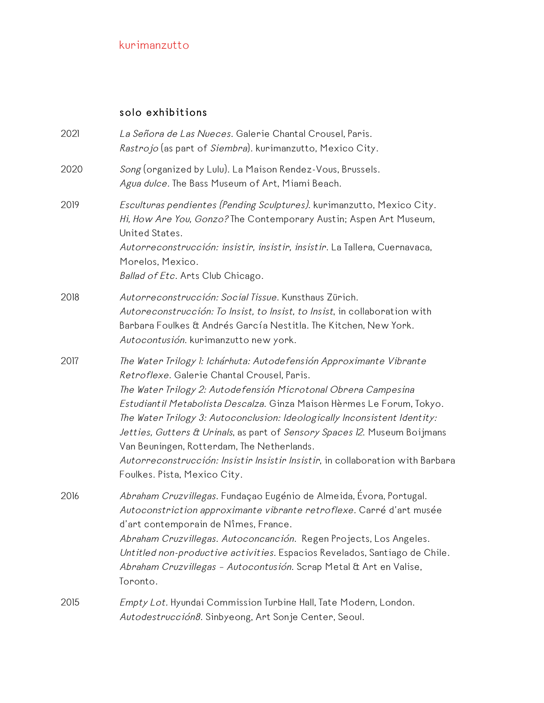## solo exhibitions

| 2021 | La Señora de Las Nueces. Galerie Chantal Crousel, Paris.<br>Rastrojo (as part of Siembra). kurimanzutto, Mexico City.                                                                                                                                                                                                                                                                                                                                                                                                                                                                    |
|------|------------------------------------------------------------------------------------------------------------------------------------------------------------------------------------------------------------------------------------------------------------------------------------------------------------------------------------------------------------------------------------------------------------------------------------------------------------------------------------------------------------------------------------------------------------------------------------------|
| 2020 | Song (organized by Lulu). La Maison Rendez-Vous, Brussels.<br>Agua dulce. The Bass Museum of Art, Miami Beach.                                                                                                                                                                                                                                                                                                                                                                                                                                                                           |
| 2019 | Esculturas pendientes (Pending Sculptures). kurimanzutto, Mexico City.<br>Hi, How Are You, Gonzo? The Contemporary Austin; Aspen Art Museum,<br>United States.<br>Autorreconstrucción: insistir, insistir, insistir. La Tallera, Cuernavaca,<br>Morelos, Mexico.<br>Ballad of Etc. Arts Club Chicago.                                                                                                                                                                                                                                                                                    |
| 2018 | Autorreconstrucción: Social Tissue. Kunsthaus Zürich.<br>Autoreconstrucción: To Insist, to Insist, to Insist, in collaboration with<br>Barbara Foulkes & Andrés García Nestitla. The Kitchen, New York.<br>Autocontusión. kurimanzutto new york.                                                                                                                                                                                                                                                                                                                                         |
| 2017 | The Water Trilogy 1: Ichárhuta: Autodefensión Approximante Vibrante<br>Retroflexe. Galerie Chantal Crousel, Paris.<br>The Water Trilogy 2: Autodefensión Microtonal Obrera Campesina<br>Estudiantil Metabolista Descalza. Ginza Maison Hèrmes Le Forum, Tokyo.<br>The Water Trilogy 3: Autoconclusion: Ideologically Inconsistent Identity:<br>Jetties, Gutters & Urinals, as part of Sensory Spaces 12. Museum Boijmans<br>Van Beuningen, Rotterdam, The Netherlands.<br>Autorreconstrucción: Insistir Insistir Insistir, in collaboration with Barbara<br>Foulkes. Pista, Mexico City. |
| 2016 | Abraham Cruzvillegas. Fundaçao Eugénio de Almeida, Évora, Portugal.<br>Autoconstriction approximante vibrante retroflexe. Carré d'art musée<br>d'art contemporain de Nîmes, France.<br>Abraham Cruzvillegas. Autoconcanción. Regen Projects, Los Angeles.<br>Untitled non-productive activities. Espacios Revelados, Santiago de Chile.<br>Abraham Cruzvillegas - Autocontusión. Scrap Metal & Art en Valise,<br>Toronto.                                                                                                                                                                |
| 2015 | <i>Empty Lot.</i> Hyundai Commission Turbine Hall, Tate Modern, London.<br>Autodestrucción8. Sinbyeong, Art Sonje Center, Seoul.                                                                                                                                                                                                                                                                                                                                                                                                                                                         |
|      |                                                                                                                                                                                                                                                                                                                                                                                                                                                                                                                                                                                          |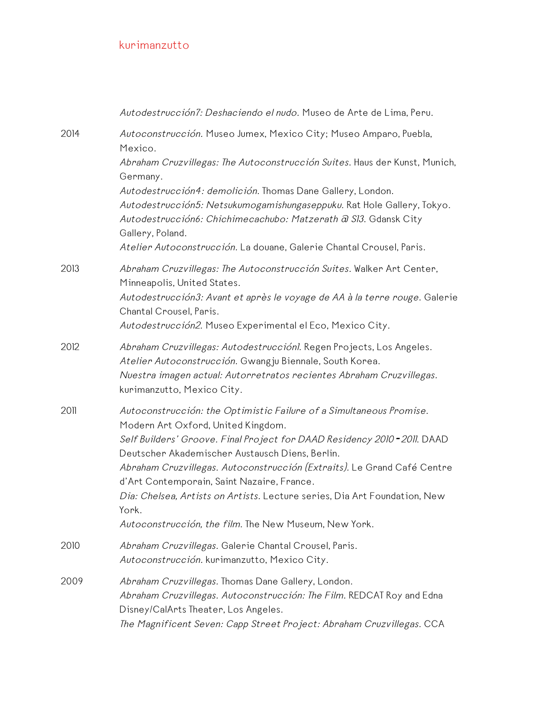|      | Autodestrucción7: Deshaciendo el nudo. Museo de Arte de Lima, Peru.                                                                                                                                                                          |
|------|----------------------------------------------------------------------------------------------------------------------------------------------------------------------------------------------------------------------------------------------|
| 2014 | Autoconstrucción. Museo Jumex, Mexico City; Museo Amparo, Puebla,<br>Mexico.                                                                                                                                                                 |
|      | Abraham Cruzvillegas: The Autoconstrucción Suites. Haus der Kunst, Munich,<br>Germany.                                                                                                                                                       |
|      | Autodestrucción4: demolición. Thomas Dane Gallery, London.<br>Autodestrucción5: Netsukumogamishungaseppuku. Rat Hole Gallery, Tokyo.<br>Autodestrucción6: Chichimecachubo: Matzerath @ SI3. Gdansk City<br>Gallery, Poland.                  |
|      | Atelier Autoconstrucción. La douane, Galerie Chantal Crousel, Paris.                                                                                                                                                                         |
| 2013 | Abraham Cruzvillegas: The Autoconstrucción Suites. Walker Art Center,<br>Minneapolis, United States.                                                                                                                                         |
|      | Autodestrucción3: Avant et après le voyage de AA à la terre rouge. Galerie<br>Chantal Crousel, Paris.                                                                                                                                        |
|      | Autodestrucción2. Museo Experimental el Eco, Mexico City.                                                                                                                                                                                    |
| 2012 | Abraham Cruzvillegas: Autodestrucciónl. Regen Projects, Los Angeles.<br>Atelier Autoconstrucción. Gwangju Biennale, South Korea.<br>Nuestra imagen actual: Autorretratos recientes Abraham Cruzvillegas.                                     |
|      | kurimanzutto, Mexico City.                                                                                                                                                                                                                   |
| 2011 | Autoconstrucción: the Optimistic Failure of a Simultaneous Promise.<br>Modern Art Oxford, United Kingdom.                                                                                                                                    |
|      | Self Builders' Groove. Final Project for DAAD Residency 2010 - 2011. DAAD<br>Deutscher Akademischer Austausch Diens, Berlin.                                                                                                                 |
|      | Abraham Cruzvillegas. Autoconstrucción (Extraits). Le Grand Café Centre<br>d'Art Contemporain, Saint Nazaire, France.                                                                                                                        |
|      | Dia: Chelsea, Artists on Artists. Lecture series, Dia Art Foundation, New<br>York.                                                                                                                                                           |
|      | Autoconstrucción, the film. The New Museum, New York.                                                                                                                                                                                        |
| 2010 | Abraham Cruzvillegas. Galerie Chantal Crousel, Paris.<br>Autoconstrucción. kurimanzutto, Mexico City.                                                                                                                                        |
| 2009 | Abraham Cruzvillegas. Thomas Dane Gallery, London.<br>Abraham Cruzvillegas. Autoconstrucción: The Film. REDCAT Roy and Edna<br>Disney/CalArts Theater, Los Angeles.<br>The Magnificent Seven: Capp Street Project: Abraham Cruzvillegas. CCA |
|      |                                                                                                                                                                                                                                              |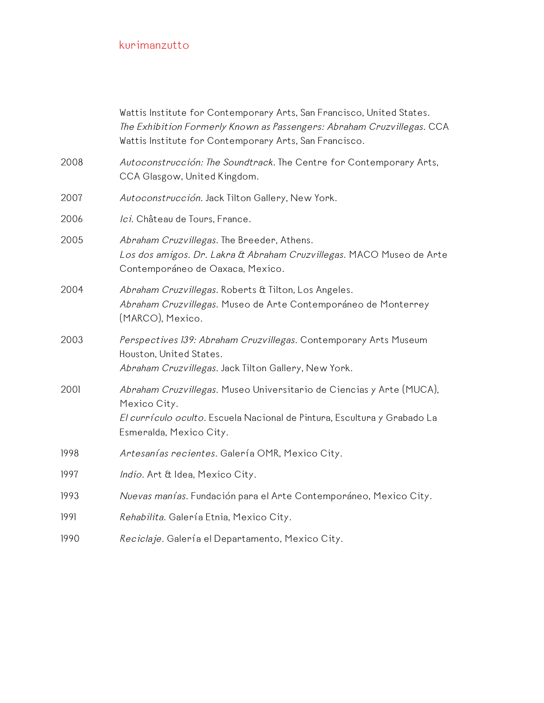|      | Wattis Institute for Contemporary Arts, San Francisco, United States.<br>The Exhibition Formerly Known as Passengers: Abraham Cruzvillegas. CCA<br>Wattis Institute for Contemporary Arts, San Francisco. |
|------|-----------------------------------------------------------------------------------------------------------------------------------------------------------------------------------------------------------|
| 2008 | Autoconstrucción: The Soundtrack. The Centre for Contemporary Arts,<br>CCA Glasgow, United Kingdom.                                                                                                       |
| 2007 | Autoconstrucción. Jack Tilton Gallery, New York.                                                                                                                                                          |
| 2006 | Ici. Château de Tours, France.                                                                                                                                                                            |
| 2005 | Abraham Cruzvillegas. The Breeder, Athens.<br>Los dos amigos. Dr. Lakra & Abraham Cruzvillegas. MACO Museo de Arte<br>Contemporáneo de Oaxaca, Mexico.                                                    |
| 2004 | Abraham Cruzvillegas. Roberts & Tilton, Los Angeles.<br>Abraham Cruzvillegas. Museo de Arte Contemporáneo de Monterrey<br>(MARCO), Mexico.                                                                |
| 2003 | Perspectives 139: Abraham Cruzvillegas. Contemporary Arts Museum<br>Houston, United States.<br>Abraham Cruzvillegas. Jack Tilton Gallery, New York.                                                       |
| 2001 | Abraham Cruzvillegas. Museo Universitario de Ciencias y Arte (MUCA),<br>Mexico City.<br>El currículo oculto. Escuela Nacional de Pintura, Escultura y Grabado La<br>Esmeralda, Mexico City.               |
| 1998 | Artesanías recientes. Galería OMR, Mexico City.                                                                                                                                                           |
| 1997 | Indio. Art & Idea, Mexico City.                                                                                                                                                                           |
| 1993 | Nuevas manías. Fundación para el Arte Contemporáneo, Mexico City.                                                                                                                                         |
| 1991 | Rehabilita. Galería Etnia, Mexico City.                                                                                                                                                                   |
| 1990 | Reciclaje. Galería el Departamento, Mexico City.                                                                                                                                                          |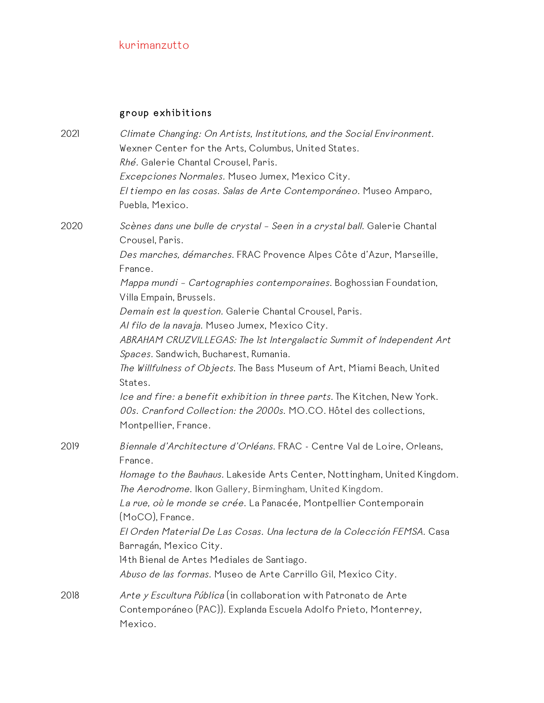# group exhibitions

| 2021 | Climate Changing: On Artists, Institutions, and the Social Environment.<br>Wexner Center for the Arts, Columbus, United States.<br>Rhé. Galerie Chantal Crousel, Paris.<br>Excepciones Normales. Museo Jumex, Mexico City.<br>El tiempo en las cosas. Salas de Arte Contemporáneo. Museo Amparo,<br>Puebla, Mexico.                                                                                                                                                                                                                                                                                                                                                                                                                                                               |
|------|-----------------------------------------------------------------------------------------------------------------------------------------------------------------------------------------------------------------------------------------------------------------------------------------------------------------------------------------------------------------------------------------------------------------------------------------------------------------------------------------------------------------------------------------------------------------------------------------------------------------------------------------------------------------------------------------------------------------------------------------------------------------------------------|
| 2020 | Scènes dans une bulle de crystal - Seen in a crystal ball. Galerie Chantal<br>Crousel, Paris.<br>Des marches, démarches. FRAC Provence Alpes Côte d'Azur, Marseille,<br>France.<br>Mappa mundi - Cartographies contemporaines. Boghossian Foundation,<br>Villa Empain, Brussels.<br>Demain est la question. Galerie Chantal Crousel, Paris.<br>Al filo de la navaja. Museo Jumex, Mexico City.<br>ABRAHAM CRUZVILLEGAS: The 1st Intergalactic Summit of Independent Art<br>Spaces. Sandwich, Bucharest, Rumania.<br>The Willfulness of Objects. The Bass Museum of Art, Miami Beach, United<br>States.<br>Ice and fire: a benefit exhibition in three parts. The Kitchen, New York.<br>00s. Cranford Collection: the 2000s. MO.CO. Hôtel des collections,<br>Montpellier, France. |
| 2019 | Biennale d'Architecture d'Orléans. FRAC - Centre Val de Loire, Orleans,<br>France.<br>Homage to the Bauhaus. Lakeside Arts Center, Nottingham, United Kingdom.<br>The Aerodrome. Ikon Gallery, Birmingham, United Kingdom.<br>La rue, où le monde se crée. La Panacée, Montpellier Contemporain<br>(MoCO), France<br>El Orden Material De Las Cosas. Una lectura de la Colección FEMSA. Casa<br>Barragán, Mexico City.<br>14th Bienal de Artes Mediales de Santiago.<br>Abuso de las formas. Museo de Arte Carrillo Gil, Mexico City.                                                                                                                                                                                                                                             |
| 2018 | Arte y Escultura Pública (in collaboration with Patronato de Arte<br>Contemporáneo (PAC)). Explanda Escuela Adolfo Prieto, Monterrey,<br>Mexico.                                                                                                                                                                                                                                                                                                                                                                                                                                                                                                                                                                                                                                  |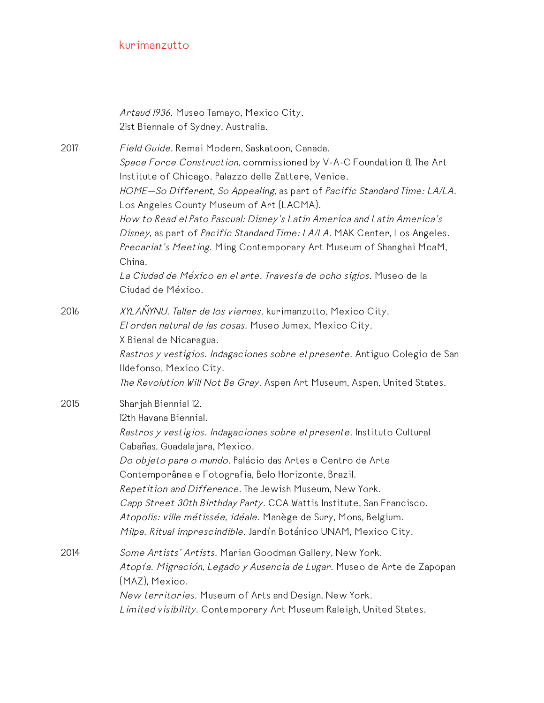|      | Artaud 1936. Museo Tamayo, Mexico City.<br>21st Biennale of Sydney, Australia.                                                                                                                                                                                                                                                                                                                                                                                                                                                                                                                                                                |
|------|-----------------------------------------------------------------------------------------------------------------------------------------------------------------------------------------------------------------------------------------------------------------------------------------------------------------------------------------------------------------------------------------------------------------------------------------------------------------------------------------------------------------------------------------------------------------------------------------------------------------------------------------------|
| 2017 | Field Guide. Remai Modern, Saskatoon, Canada.<br>Space Force Construction, commissioned by V-A-C Foundation & The Art<br>Institute of Chicago. Palazzo delle Zattere, Venice.<br>HOME-So Different, So Appealing, as part of Pacific Standard Time: LA/LA.<br>Los Angeles County Museum of Art (LACMA).<br>How to Read el Pato Pascual: Disney's Latin America and Latin America's<br>Disney, as part of Pacific Standard Time: LA/LA. MAK Center, Los Angeles.<br>Precariat's Meeting. Ming Contemporary Art Museum of Shanghai McaM,<br>China.<br>La Ciudad de México en el arte. Travesía de ocho siglos. Museo de la<br>Ciudad de México. |
| 2016 | XYLAÑYNU. Taller de los viernes. kurimanzutto, Mexico City.<br>El orden natural de las cosas. Museo Jumex, Mexico City.<br>X Bienal de Nicaragua.<br>Rastros y vestigios. Indagaciones sobre el presente. Antiguo Colegio de San<br>Ildefonso, Mexico City.<br>The Revolution Will Not Be Gray. Aspen Art Museum, Aspen, United States.                                                                                                                                                                                                                                                                                                       |
| 2015 | Sharjah Biennial 12.<br>12th Havana Biennial.<br>Rastros y vestigios. Indagaciones sobre el presente. Instituto Cultural<br>Cabañas, Guadalajara, Mexico.<br>Do objeto para o mundo. Palácio das Artes e Centro de Arte<br>Contemporânea e Fotografia, Belo Horizonte, Brazil.<br>Repetition and Difference. The Jewish Museum, New York.<br>Capp Street 30th Birthday Party. CCA Wattis Institute, San Francisco.<br>Atopolis: ville métissée, idéale. Manège de Sury, Mons, Belgium.<br>Milpa. Ritual imprescindible. Jardín Botánico UNAM, Mexico City.                                                                                    |
| 2014 | Some Artists' Artists. Marian Goodman Gallery, New York.<br>Atopía. Migración, Legado y Ausencia de Lugar. Museo de Arte de Zapopan<br>(MAZ), Mexico.<br>New territories. Museum of Arts and Design, New York.<br>Limited visibility. Contemporary Art Museum Raleigh, United States.                                                                                                                                                                                                                                                                                                                                                         |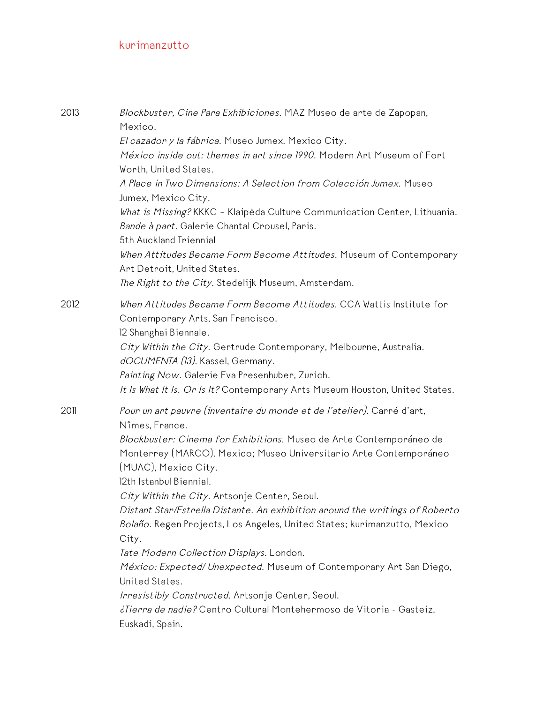| 2013 | Blockbuster, Cine Para Exhibiciones. MAZ Museo de arte de Zapopan,<br>Mexico.<br>El cazador y la fábrica. Museo Jumex, Mexico City.<br>México inside out: themes in art since 1990. Modern Art Museum of Fort<br>Worth, United States.<br>A Place in Two Dimensions: A Selection from Colección Jumex. Museo<br>Jumex, Mexico City.<br>What is Missing? KKKC - Klaipėda Culture Communication Center, Lithuania.<br>Bande à part. Galerie Chantal Crousel, Paris.<br>5th Auckland Triennial<br>When Attitudes Became Form Become Attitudes. Museum of Contemporary<br>Art Detroit, United States.                                                                                                                                                                                                  |
|------|----------------------------------------------------------------------------------------------------------------------------------------------------------------------------------------------------------------------------------------------------------------------------------------------------------------------------------------------------------------------------------------------------------------------------------------------------------------------------------------------------------------------------------------------------------------------------------------------------------------------------------------------------------------------------------------------------------------------------------------------------------------------------------------------------|
|      | The Right to the City. Stedelijk Museum, Amsterdam.                                                                                                                                                                                                                                                                                                                                                                                                                                                                                                                                                                                                                                                                                                                                                |
| 2012 | When Attitudes Became Form Become Attitudes. CCA Wattis Institute for<br>Contemporary Arts, San Francisco.<br>12 Shanghai Biennale.<br>City Within the City. Gertrude Contemporary, Melbourne, Australia.<br>dOCUMENTA (13). Kassel, Germany.<br>Painting Now. Galerie Eva Presenhuber, Zurich.<br>It Is What It Is. Or Is It? Contemporary Arts Museum Houston, United States.                                                                                                                                                                                                                                                                                                                                                                                                                    |
| 2011 | Pour un art pauvre (inventaire du monde et de l'atelier). Carré d'art,<br>Nîmes, France.<br>Blockbuster: Cinema for Exhibitions. Museo de Arte Contemporáneo de<br>Monterrey (MARCO), Mexico; Museo Universitario Arte Contemporáneo<br>(MUAC), Mexico City.<br>12th Istanbul Biennial.<br>City Within the City. Artsonje Center, Seoul.<br>Distant Star/Estrella Distante. An exhibition around the writings of Roberto<br>Bolaño. Regen Projects, Los Angeles, United States; kurimanzutto, Mexico<br>City.<br>Tate Modern Collection Displays. London.<br>México: Expected/ Unexpected. Museum of Contemporary Art San Diego,<br>United States.<br>Irresistibly Constructed. Artsonje Center, Seoul.<br>¿Tierra de nadie? Centro Cultural Montehermoso de Vitoria - Gasteiz,<br>Euskadi, Spain. |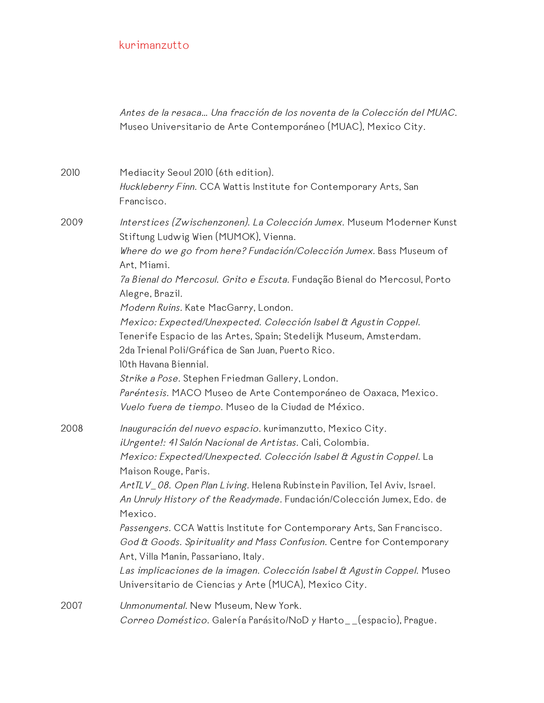Antes de la resaca… Una fracción de los noventa de la Colección del MUAC. Museo Universitario de Arte Contemporáneo (MUAC), Mexico City.

2010 Mediacity Seoul 2010 (6th edition). Huckleberry Finn. CCA Wattis Institute for Contemporary Arts, San Francisco. 2009 Interstices (Zwischenzonen). La Colección Jumex. Museum Moderner Kunst

Stiftung Ludwig Wien (MUMOK), Vienna.

Where do we go from here? Fundación/Colección Jumex. Bass Museum of Art, Miami.

7a Bienal do Mercosul. Grito <sup>e</sup> Escuta. Fundação Bienal do Mercosul, Porto Alegre, Brazil.

Modern Ruins. Kate MacGarry, London.

Mexico: Expected/Unexpected. Colección Isabel & Agustin Coppel.

Tenerife Espacio de las Artes, Spain; Stedelijk Museum, Amsterdam.

2da Trienal Poli/Gráfica de San Juan, Puerto Rico.

10th Havana Biennial.

Strike a Pose. Stephen Friedman Gallery, London. Paréntesis. MACO Museo de Arte Contemporáneo de Oaxaca, Mexico. Vuelo fuera de tiempo. Museo de la Ciudad de México.

2008 Inauguración del nuevo espacio. kurimanzutto, Mexico City. iUrgente!: 41 Salón Nacional de Artistas. Cali, Colombia. Mexico: Expected/Unexpected. Colección Isabel & Agustin Coppel. La Maison Rouge, Paris.

ArtTLV\_08. Open Plan Living. Helena Rubinstein Pavilion, Tel Aviv, Israel. An Unruly History of the Readymade. Fundación/Colección Jumex, Edo. de Mexico.

Passengers. CCA Wattis Institute for Contemporary Arts, San Francisco. God & Goods. Spirituality and Mass Confusion. Centre for Contemporary Art, Villa Manin, Passariano, Italy.

Las implicaciones de la imagen. Colección Isabel & Agustin Coppel. Museo Universitario de Ciencias y Arte (MUCA), Mexico City.

2007 Unmonumental. New Museum, New York. Correo Doméstico. Galería Parásito/NoD y Harto\_\_(espacio), Prague.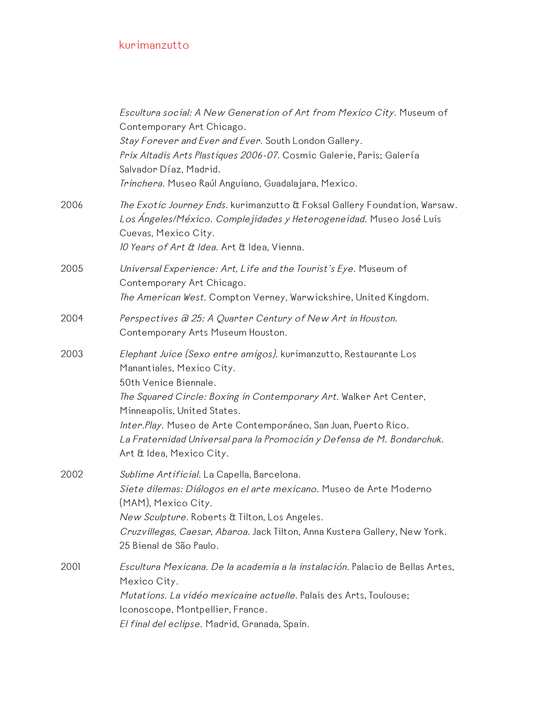|      | Escultura social: A New Generation of Art from Mexico City. Museum of<br>Contemporary Art Chicago.<br>Stay Forever and Ever and Ever. South London Gallery.<br>Prix Altadis Arts Plastiques 2006-07. Cosmic Galerie, Paris; Galería<br>Salvador Díaz, Madrid.<br>Trinchera. Museo Raúl Anguiano, Guadalajara, Mexico.                                                                                  |
|------|--------------------------------------------------------------------------------------------------------------------------------------------------------------------------------------------------------------------------------------------------------------------------------------------------------------------------------------------------------------------------------------------------------|
| 2006 | The Exotic Journey Ends. kurimanzutto & Foksal Gallery Foundation, Warsaw.<br>Los Ángeles/México. Complejidades y Heterogeneidad. Museo José Luis<br>Cuevas, Mexico City.<br>10 Years of Art & Idea. Art & Idea, Vienna.                                                                                                                                                                               |
| 2005 | Universal Experience: Art, Life and the Tourist's Eye. Museum of<br>Contemporary Art Chicago.<br>The American West. Compton Verney, Warwickshire, United Kingdom.                                                                                                                                                                                                                                      |
| 2004 | Perspectives a 25: A Quarter Century of New Art in Houston.<br>Contemporary Arts Museum Houston.                                                                                                                                                                                                                                                                                                       |
| 2003 | Elephant Juice (Sexo entre amigos). kurimanzutto, Restaurante Los<br>Manantiales, Mexico City.<br>50th Venice Biennale.<br>The Squared Circle: Boxing in Contemporary Art. Walker Art Center,<br>Minneapolis, United States.<br>Inter. Play. Museo de Arte Contemporáneo, San Juan, Puerto Rico.<br>La Fraternidad Universal para la Promoción y Defensa de M. Bondarchuk.<br>Art & Idea, Mexico City. |
| 2002 | Sublime Artificial. La Capella, Barcelona.<br>Siete dilemas: Diálogos en el arte mexicano. Museo de Arte Moderno<br>(MAM), Mexico City.<br>New Sculpture. Roberts & Tilton, Los Angeles.<br>Cruzvillegas, Caesar, Abaroa. Jack Tilton, Anna Kustera Gallery, New York.<br>25 Bienal de São Paulo.                                                                                                      |
| 2001 | Escultura Mexicana. De la academia a la instalación. Palacio de Bellas Artes,<br>Mexico City.<br>Mutations. La vidéo mexicaine actuelle. Palais des Arts, Toulouse;<br>Iconoscope, Montpellier, France.<br>El final del eclipse. Madrid, Granada, Spain.                                                                                                                                               |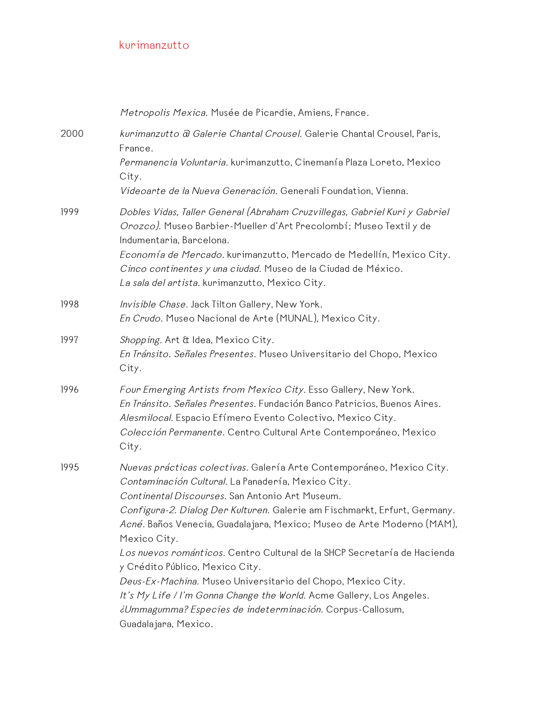|      | Metropolis Mexica. Musée de Picardie, Amiens, France.                                                                                                                                                                                                                                   |
|------|-----------------------------------------------------------------------------------------------------------------------------------------------------------------------------------------------------------------------------------------------------------------------------------------|
| 2000 | kurimanzutto a Galerie Chantal Crousel. Galerie Chantal Crousel, Paris,<br>France.                                                                                                                                                                                                      |
|      | Permanencia Voluntaria. kurimanzutto, Cinemanía Plaza Loreto, Mexico<br>City.                                                                                                                                                                                                           |
|      | Videoarte de la Nueva Generación. Generali Foundation, Vienna.                                                                                                                                                                                                                          |
| 1999 | Dobles Vidas, Taller General (Abraham Cruzvillegas, Gabriel Kuri y Gabriel<br>Orozco). Museo Barbier-Mueller d'Art Precolombí; Museo Textil y de<br>Indumentaria, Barcelona.                                                                                                            |
|      | Economía de Mercado. kurimanzutto, Mercado de Medellín, Mexico City.<br>Cinco continentes y una ciudad. Museo de la Ciudad de México.<br>La sala del artista. kurimanzutto, Mexico City.                                                                                                |
| 1998 | Invisible Chase. Jack Tilton Gallery, New York.<br>En Crudo. Museo Nacional de Arte (MUNAL), Mexico City.                                                                                                                                                                               |
| 1997 | Shopping. Art & Idea, Mexico City.<br>En Tránsito. Señales Presentes. Museo Universitario del Chopo, Mexico<br>City.                                                                                                                                                                    |
| 1996 | Four Emerging Artists from Mexico City. Esso Gallery, New York.<br>En Tránsito. Señales Presentes. Fundación Banco Patricios, Buenos Aires.<br>Alesmilocal. Espacio Efímero Evento Colectivo, Mexico City.<br>Colección Permanente. Centro Cultural Arte Contemporáneo, Mexico<br>City. |
| 1995 | Nuevas prácticas colectivas. Galería Arte Contemporáneo, Mexico City.<br>Contaminación Cultural. La Panadería, Mexico City.<br>Continental Discourses. San Antonio Art Museum.                                                                                                          |
|      | Configura-2. Dialog Der Kulturen. Galerie am Fischmarkt, Erfurt, Germany.<br>Acné. Baños Venecia, Guadalajara, Mexico; Museo de Arte Moderno (MAM),<br>Mexico City.                                                                                                                     |
|      | Los nuevos románticos. Centro Cultural de la SHCP Secretaría de Hacienda<br>y Crédito Público, Mexico City.                                                                                                                                                                             |
|      | Deus-Ex-Machina. Museo Universitario del Chopo, Mexico City.                                                                                                                                                                                                                            |
|      | It's My Life / I'm Gonna Change the World. Acme Gallery, Los Angeles.                                                                                                                                                                                                                   |
|      | ¿Ummagumma? Especies de indeterminación. Corpus-Callosum,<br>Guadalajara, Mexico.                                                                                                                                                                                                       |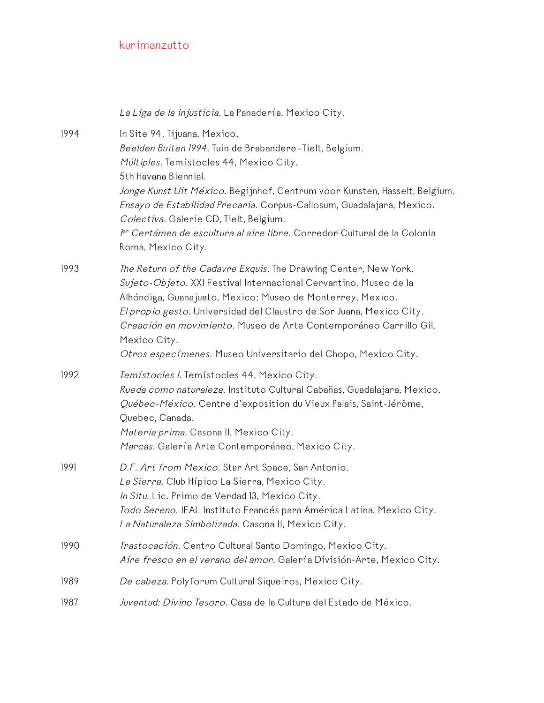|      | La Liga de la injusticia. La Panadería, Mexico City.                                                                                                                                                                                                                                                                                                                                                                                                         |
|------|--------------------------------------------------------------------------------------------------------------------------------------------------------------------------------------------------------------------------------------------------------------------------------------------------------------------------------------------------------------------------------------------------------------------------------------------------------------|
| 1994 | In Site 94. Tijuana, Mexico.<br>Beelden Buiten 1994. Tuin de Brabandere-Tielt, Belgium.<br>Múltiples. Temístocles 44, Mexico City.<br>5th Havana Biennial.<br>Jonge Kunst Uit México. Begijnhof, Centrum voor Kunsten, Hasselt, Belgium.<br>Ensayo de Estabilidad Precaria. Corpus-Callosum, Guadalajara, Mexico.<br>Colectiva. Galerie CD, Tielt, Belgium.<br>Pr Certámen de escultura al aire libre. Corredor Cultural de la Colonia<br>Roma, Mexico City. |
| 1993 | The Return of the Cadavre Exquis. The Drawing Center, New York.<br>Sujeto-Objeto. XXI Festival Internacional Cervantino, Museo de la<br>Alhóndiga, Guanajuato, Mexico; Museo de Monterrey, Mexico.<br>El propio gesto. Universidad del Claustro de Sor Juana, Mexico City.<br>Creación en movimiento. Museo de Arte Contemporáneo Carrillo Gil,<br>Mexico City.<br>Otros especímenes. Museo Universitario del Chopo, Mexico City.                            |
| 1992 | Temístocles I. Temístocles 44, Mexico City.<br>Rueda como naturaleza. Instituto Cultural Cabañas, Guadalajara, Mexico.<br>Québec-México. Centre d'exposition du Vieux Palais, Saint-Jérôme,<br>Quebec, Canada.<br>Materia prima. Casona II, Mexico City.<br>Marcas. Galería Arte Contemporáneo, Mexico City.                                                                                                                                                 |
| 1991 | D.F. Art from Mexico. Star Art Space, San Antonio.<br>La Sierra. Club Hípico La Sierra, Mexico City.<br>In Situ. Lic. Primo de Verdad 13, Mexico City.<br>Todo Sereno. IFAL Instituto Francés para América Latina, Mexico City.<br>La Naturaleza Simbolizada. Casona II, Mexico City.                                                                                                                                                                        |
| 1990 | Trastocación. Centro Cultural Santo Domingo, Mexico City.<br>Aire fresco en el verano del amor. Galería División-Arte, Mexico City.                                                                                                                                                                                                                                                                                                                          |
| 1989 | De cabeza. Polyforum Cultural Siqueiros, Mexico City.                                                                                                                                                                                                                                                                                                                                                                                                        |
| 1987 | Juventud: Divino Tesoro. Casa de la Cultura del Estado de México.                                                                                                                                                                                                                                                                                                                                                                                            |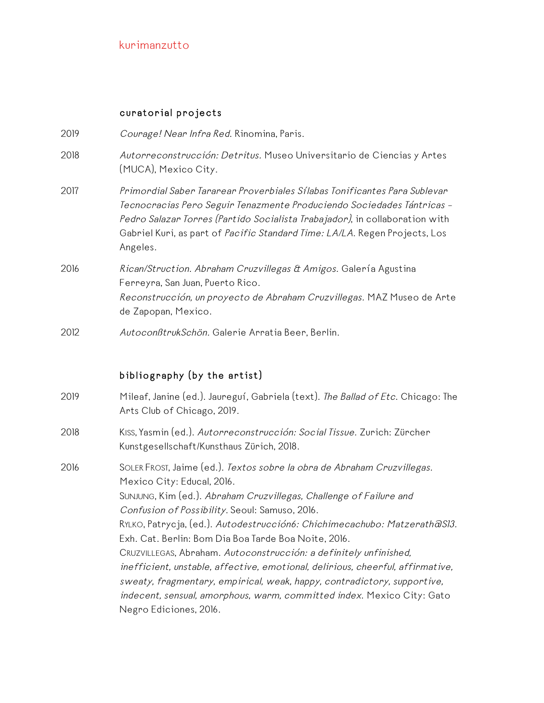## curatorial projects

| 2019 | Courage! Near Infra Red. Rinomina, Paris.                                                                                                                                                                                                                                                                                    |
|------|------------------------------------------------------------------------------------------------------------------------------------------------------------------------------------------------------------------------------------------------------------------------------------------------------------------------------|
| 2018 | Autorreconstrucción: Detritus. Museo Universitario de Ciencias y Artes<br>(MUCA), Mexico City.                                                                                                                                                                                                                               |
| 2017 | Primordial Saber Tararear Proverbiales Sílabas Tonificantes Para Sublevar<br>Tecnocracias Pero Seguir Tenazmente Produciendo Sociedades Tántricas -<br>Pedro Salazar Torres (Partido Socialista Trabajador), in collaboration with<br>Gabriel Kuri, as part of Pacific Standard Time: LA/LA. Regen Projects, Los<br>Angeles. |
| 2016 | Rican/Struction. Abraham Cruzvillegas & Amigos. Galería Agustina<br>Ferreyra, San Juan, Puerto Rico.<br>Reconstrucción, un proyecto de Abraham Cruzvillegas. MAZ Museo de Arte<br>de Zapopan, Mexico.                                                                                                                        |

2012 AutoconßtrukSchön. Galerie Arratia Beer, Berlin.

## bibliography (by the artist)

| 2019 | Mileaf, Janine (ed.). Jaureguí, Gabriela (text). The Ballad of Etc. Chicago: The |
|------|----------------------------------------------------------------------------------|
|      | Arts Club of Chicago, 2019.                                                      |

- 2018 KISS, Yasmin (ed.). Autorreconstrucción: Social Tissue. Zurich: Zürcher Kunstgesellschaft/Kunsthaus Zürich, 2018.
- 2016 SOLER FROST, Jaime (ed.). Textos sobre la obra de Abraham Cruzvillegas. Mexico City: Educal, 2016. SUNJUNG, Kim (ed.). Abraham Cruzvillegas, Challenge of Failure and Confusion of Possibility. Seoul: Samuso, 2016. RYLKO, Patrycja, (ed.). Autodestrucción6: Chichimecachubo: Matzerath@S13. Exh. Cat. Berlin: Bom Dia Boa Tarde Boa Noite, 2016. CRUZVILLEGAS, Abraham. Autoconstrucción: <sup>a</sup> definitely unfinished, inefficient, unstable, affective, emotional, delirious, cheerful, affirmative, sweaty, fragmentary, empirical, weak, happy, contradictory, supportive, indecent, sensual, amorphous, warm, committed index. Mexico City: Gato Negro Ediciones, 2016.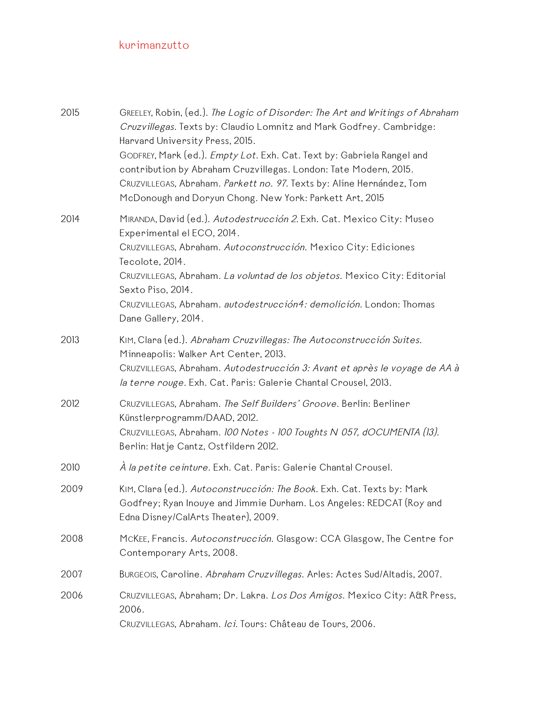| 2015 | GREELEY, Robin, (ed.). The Logic of Disorder: The Art and Writings of Abraham<br>Cruzvillegas. Texts by: Claudio Lomnitz and Mark Godfrey. Cambridge:<br>Harvard University Press, 2015.<br>GODFREY, Mark (ed.). Empty Lot. Exh. Cat. Text by: Gabriela Rangel and<br>contribution by Abraham Cruzvillegas. London: Tate Modern, 2015.<br>CRUZVILLEGAS, Abraham. Parkett no. 97. Texts by: Aline Hernández, Tom |
|------|-----------------------------------------------------------------------------------------------------------------------------------------------------------------------------------------------------------------------------------------------------------------------------------------------------------------------------------------------------------------------------------------------------------------|
| 2014 | McDonough and Doryun Chong. New York: Parkett Art, 2015<br>MIRANDA, David (ed.). Autodestrucción 2. Exh. Cat. Mexico City: Museo<br>Experimental el ECO, 2014.                                                                                                                                                                                                                                                  |
|      | CRUZVILLEGAS, Abraham. Autoconstrucción. Mexico City: Ediciones<br>Tecolote, 2014.<br>CRUZVILLEGAS, Abraham. La voluntad de los objetos. Mexico City: Editorial<br>Sexto Piso, 2014.<br>CRUZVILLEGAS, Abraham. autodestrucción4: demolición. London: Thomas<br>Dane Gallery, 2014.                                                                                                                              |
| 2013 | KIM, Clara (ed.). Abraham Cruzvillegas: The Autoconstrucción Suites.<br>Minneapolis: Walker Art Center, 2013.<br>CRUZVILLEGAS, Abraham. Autodestrucción 3: Avant et après le voyage de AA à<br>la terre rouge. Exh. Cat. Paris: Galerie Chantal Crousel, 2013.                                                                                                                                                  |
| 2012 | CRUZVILLEGAS, Abraham. The Self Builders' Groove. Berlin: Berliner<br>Künstlerprogramm/DAAD, 2012.<br>CRUZVILLEGAS, Abraham. 100 Notes - 100 Toughts N 057, dOCUMENTA (13).<br>Berlin: Hatje Cantz, Ostfildern 2012.                                                                                                                                                                                            |
| 2010 | À la petite ceinture. Exh. Cat. Paris: Galerie Chantal Crousel.                                                                                                                                                                                                                                                                                                                                                 |
| 2009 | KIM, Clara (ed.). Autoconstrucción: The Book. Exh. Cat. Texts by: Mark<br>Godfrey; Ryan Inouye and Jimmie Durham. Los Angeles: REDCAT (Roy and<br>Edna Disney/CalArts Theater), 2009.                                                                                                                                                                                                                           |
| 2008 | MCKEE, Francis. Autoconstrucción. Glasgow: CCA Glasgow, The Centre for<br>Contemporary Arts, 2008.                                                                                                                                                                                                                                                                                                              |
| 2007 | BURGEOIS, Caroline. Abraham Cruzvillegas. Arles: Actes Sud/Altadis, 2007.                                                                                                                                                                                                                                                                                                                                       |
| 2006 | CRUZVILLEGAS, Abraham; Dr. Lakra. Los Dos Amigos. Mexico City: A&R Press,<br>2006.<br>CRUZVILLEGAS, Abraham. Ici. Tours: Château de Tours, 2006.                                                                                                                                                                                                                                                                |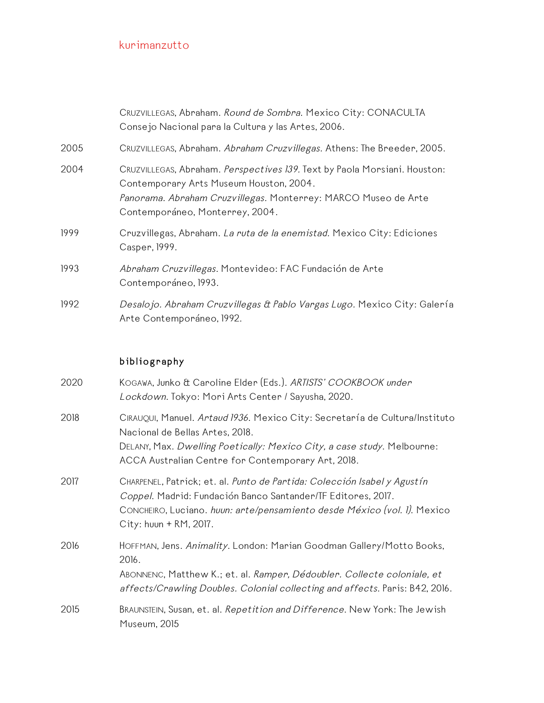|      | CRUZVILLEGAS, Abraham. Round de Sombra. Mexico City: CONACULTA<br>Consejo Nacional para la Cultura y las Artes, 2006.                                                                                                     |
|------|---------------------------------------------------------------------------------------------------------------------------------------------------------------------------------------------------------------------------|
| 2005 | CRUZVILLEGAS, Abraham. Abraham Cruzvillegas. Athens: The Breeder, 2005.                                                                                                                                                   |
| 2004 | CRUZVILLEGAS, Abraham. Perspectives 139. Text by Paola Morsiani. Houston:<br>Contemporary Arts Museum Houston, 2004.<br>Panorama. Abraham Cruzvillegas. Monterrey: MARCO Museo de Arte<br>Contemporáneo, Monterrey, 2004. |
| 1999 | Cruzvillegas, Abraham. La ruta de la enemistad. Mexico City: Ediciones<br>Casper, 1999.                                                                                                                                   |
| 1993 | Abraham Cruzvillegas. Montevideo: FAC Fundación de Arte<br>Contemporáneo, 1993.                                                                                                                                           |
| 1992 | Desalojo. Abraham Cruzvillegas & Pablo Vargas Lugo. Mexico City: Galería<br>Arte Contemporáneo, 1992.                                                                                                                     |

# bibliography

| 2020 | KOGAWA, Junko & Caroline Elder (Eds.). ARTISTS' COOKBOOK under<br>Lockdown. Tokyo: Mori Arts Center / Sayusha, 2020.                                                                                                                            |
|------|-------------------------------------------------------------------------------------------------------------------------------------------------------------------------------------------------------------------------------------------------|
| 2018 | CIRAUQUI, Manuel. Artaud 1936. Mexico City: Secretaría de Cultura/Instituto<br>Nacional de Bellas Artes, 2018.<br>DELANY, Max. Dwelling Poetically: Mexico City, a case study. Melbourne:<br>ACCA Australian Centre for Contemporary Art, 2018. |
| 2017 | CHARPENEL, Patrick; et. al. Punto de Partida: Colección Isabel y Agustín<br>Coppel. Madrid: Fundación Banco Santander/TF Editores, 2017.<br>CONCHEIRO, Luciano. huun: arte/pensamiento desde México (vol. 1). Mexico<br>City: huun + RM, 2017.  |
| 2016 | HOFFMAN, Jens. Animality. London: Marian Goodman Gallery/Motto Books,<br>2016.<br>ABONNENC, Matthew K.; et. al. Ramper, Dédoubler. Collecte coloniale, et<br>affects/Crawling Doubles. Colonial collecting and affects. Paris: B42, 2016.       |
| 2015 | BRAUNSTEIN, Susan, et. al. Repetition and Difference. New York: The Jewish<br>Museum, 2015                                                                                                                                                      |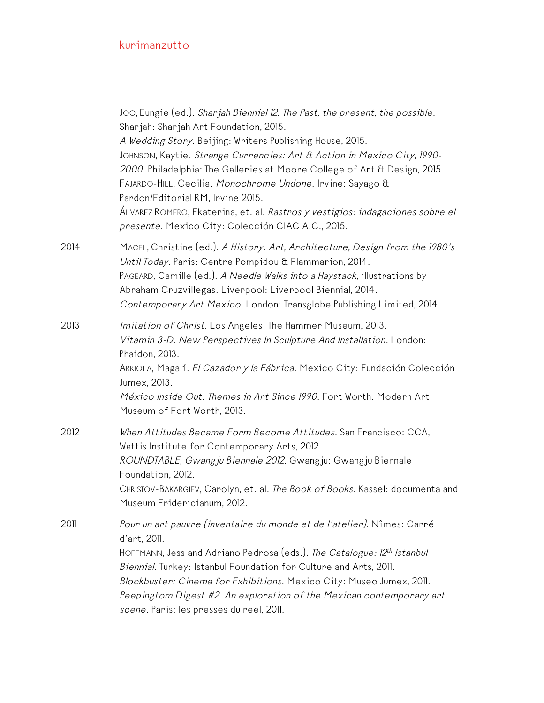|      | Joo, Eungie (ed.). Sharjah Biennial 12: The Past, the present, the possible.<br>Sharjah: Sharjah Art Foundation, 2015.<br>A Wedding Story. Beijing: Writers Publishing House, 2015.<br>JOHNSON, Kaytie. Strange Currencies: Art & Action in Mexico City, 1990-<br>2000. Philadelphia: The Galleries at Moore College of Art & Design, 2015.<br>FAJARDO-HILL, Cecilia. Monochrome Undone. Irvine: Sayago &<br>Pardon/Editorial RM, Irvine 2015.<br>ÁLVAREZ ROMERO, Ekaterina, et. al. <i>Rastros y vestigios: indagaciones sobre el</i><br>presente. Mexico City: Colección CIAC A.C., 2015. |
|------|---------------------------------------------------------------------------------------------------------------------------------------------------------------------------------------------------------------------------------------------------------------------------------------------------------------------------------------------------------------------------------------------------------------------------------------------------------------------------------------------------------------------------------------------------------------------------------------------|
| 2014 | MACEL, Christine (ed.). A History. Art, Architecture, Design from the 1980's<br>Until Today. Paris: Centre Pompidou & Flammarion, 2014.<br>PAGEARD, Camille (ed.). A Needle Walks into a Haystack, illustrations by<br>Abraham Cruzvillegas. Liverpool: Liverpool Biennial, 2014.<br>Contemporary Art Mexico. London: Transglobe Publishing Limited, 2014.                                                                                                                                                                                                                                  |
| 2013 | Imitation of Christ. Los Angeles: The Hammer Museum, 2013.<br>Vitamin 3-D. New Perspectives In Sculpture And Installation. London:<br>Phaidon, 2013.<br>ARRIOLA, Magalí. El Cazador y la Fábrica. Mexico City: Fundación Colección<br>Jumex, 2013.<br>México Inside Out: Themes in Art Since 1990. Fort Worth: Modern Art<br>Museum of Fort Worth, 2013.                                                                                                                                                                                                                                    |
| 2012 | When Attitudes Became Form Become Attitudes. San Francisco: CCA,<br>Wattis Institute for Contemporary Arts, 2012.<br>ROUNDTABLE, Gwangju Biennale 2012. Gwangju: Gwangju Biennale<br>Foundation, 2012.<br>CHRISTOV-BAKARGIEV, Carolyn, et. al. The Book of Books. Kassel: documenta and<br>Museum Fridericianum, 2012.                                                                                                                                                                                                                                                                      |
| 2011 | Pour un art pauvre (inventaire du monde et de l'atelier). Nîmes: Carré<br>d'art, 2011.<br>HOFFMANN, Jess and Adriano Pedrosa (eds.). The Catalogue: 12th Istanbul<br>Biennial. Turkey: Istanbul Foundation for Culture and Arts, 2011.<br>Blockbuster: Cinema for Exhibitions. Mexico City: Museo Jumex, 2011.<br>Peepingtom Digest #2. An exploration of the Mexican contemporary art<br>scene. Paris: les presses du reel, 2011.                                                                                                                                                          |
|      |                                                                                                                                                                                                                                                                                                                                                                                                                                                                                                                                                                                             |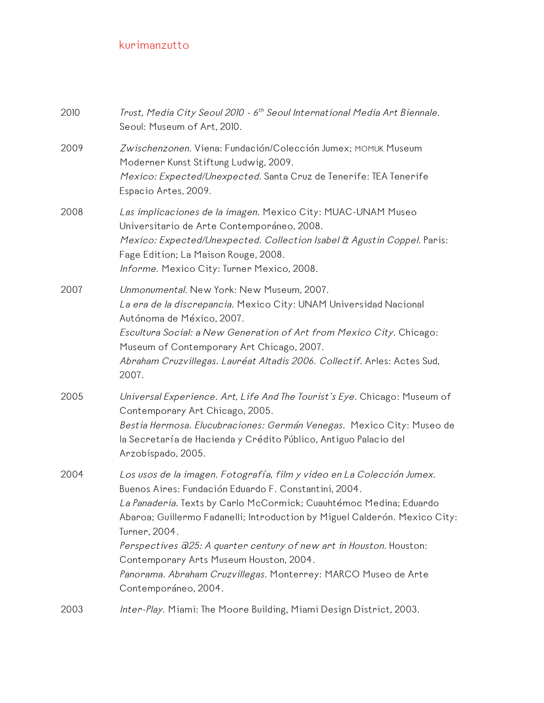| 2010 | Trust, Media City Seoul 2010 - 6 <sup>th</sup> Seoul International Media Art Biennale.<br>Seoul: Museum of Art, 2010.                                                                                                                                                                                                                                                                                                                                                                                            |
|------|------------------------------------------------------------------------------------------------------------------------------------------------------------------------------------------------------------------------------------------------------------------------------------------------------------------------------------------------------------------------------------------------------------------------------------------------------------------------------------------------------------------|
| 2009 | Zwischenzonen. Viena: Fundación/Colección Jumex; MOMUK Museum<br>Moderner Kunst Stiftung Ludwig, 2009.<br>Mexico: Expected/Unexpected. Santa Cruz de Tenerife: TEA Tenerife<br>Espacio Artes, 2009.                                                                                                                                                                                                                                                                                                              |
| 2008 | Las implicaciones de la imagen. Mexico City: MUAC-UNAM Museo<br>Universitario de Arte Contemporáneo, 2008.<br>Mexico: Expected/Unexpected. Collection Isabel & Agustin Coppel. Paris:<br>Fage Edition; La Maison Rouge, 2008.<br>Informe. Mexico City: Turner Mexico, 2008.                                                                                                                                                                                                                                      |
| 2007 | Unmonumental. New York: New Museum, 2007.<br>La era de la discrepancia. Mexico City: UNAM Universidad Nacional<br>Autónoma de México, 2007.<br>Escultura Social: a New Generation of Art from Mexico City. Chicago:<br>Museum of Contemporary Art Chicago, 2007.<br>Abraham Cruzvillegas. Lauréat Altadis 2006. Collectif. Arles: Actes Sud,<br>2007.                                                                                                                                                            |
| 2005 | Universal Experience. Art, Life And The Tourist's Eye. Chicago: Museum of<br>Contemporary Art Chicago, 2005.<br>Bestia Hermosa. Elucubraciones: Germán Venegas. Mexico City: Museo de<br>la Secretaría de Hacienda y Crédito Público, Antiguo Palacio del<br>Arzobispado, 2005.                                                                                                                                                                                                                                  |
| 2004 | Los usos de la imagen. Fotografía, film y video en La Colección Jumex.<br>Buenos Aires: Fundación Eduardo F. Constantini, 2004.<br>La Panaderia. Texts by Carlo McCormick; Cuauhtémoc Medina; Eduardo<br>Abaroa; Guillermo Fadanelli; Introduction by Miguel Calderón. Mexico City:<br>Turner, 2004.<br>Perspectives @25: A quarter century of new art in Houston. Houston:<br>Contemporary Arts Museum Houston, 2004.<br>Panorama. Abraham Cruzvillegas. Monterrey: MARCO Museo de Arte<br>Contemporáneo, 2004. |
| 2003 | Inter-Play. Miami: The Moore Building, Miami Design District, 2003.                                                                                                                                                                                                                                                                                                                                                                                                                                              |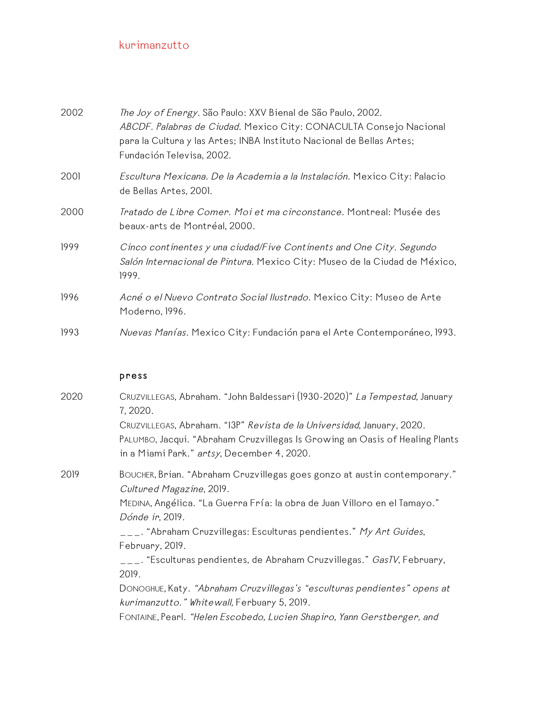| 2002 | The Joy of Energy. São Paulo: XXV Bienal de São Paulo, 2002.<br>ABCDF. Palabras de Ciudad. Mexico City: CONACULTA Consejo Nacional<br>para la Cultura y las Artes; INBA Instituto Nacional de Bellas Artes;<br>Fundación Televisa, 2002. |
|------|------------------------------------------------------------------------------------------------------------------------------------------------------------------------------------------------------------------------------------------|
| 2001 | Escultura Mexicana. De la Academia a la Instalación. Mexico City: Palacio<br>de Bellas Artes, 2001.                                                                                                                                      |
| 2000 | Tratado de Libre Comer. Moi et ma circonstance. Montreal: Musée des<br>beaux-arts de Montréal, 2000.                                                                                                                                     |
| 1999 | Cinco continentes y una ciudad/Five Continents and One City. Segundo<br>Salón Internacional de Pintura. Mexico City: Museo de la Ciudad de México,<br>1999.                                                                              |
| 1996 | Acné o el Nuevo Contrato Social Ilustrado. Mexico City: Museo de Arte<br>Moderno, 1996.                                                                                                                                                  |
| 1993 | Nuevas Manías. Mexico City: Fundación para el Arte Contemporáneo, 1993.                                                                                                                                                                  |

### press

| 2020 | CRUZVILLEGAS, Abraham. "John Baldessari (1930-2020)" La Tempestad, January<br>7, 2020.                                                                                                               |
|------|------------------------------------------------------------------------------------------------------------------------------------------------------------------------------------------------------|
|      | CRUZVILLEGAS, Abraham. "I3P" Revista de la Universidad, January, 2020.<br>PALUMBO, Jacqui. "Abraham Cruzvillegas Is Growing an Oasis of Healing Plants<br>in a Miami Park." artsy, December 4, 2020. |
| 2019 | BOUCHER, Brian. "Abraham Cruzvillegas goes gonzo at austin contemporary."<br>Cultured Magazine, 2019.<br>MEDINA, Angélica. "La Guerra Fría: la obra de Juan Villoro en el Tamayo."                   |
|      | Dónde ir, 2019.<br>___. "Abraham Cruzvillegas: Esculturas pendientes." My Art Guides,<br>February, 2019.                                                                                             |
|      | ___. "Esculturas pendientes, de Abraham Cruzvillegas." <i>GasTV</i> , February,<br>2019.                                                                                                             |
|      | DONOGHUE, Katy. "Abraham Cruzvillegas's "esculturas pendientes" opens at<br>kurimanzutto." Whitewall, Ferbuary 5, 2019.                                                                              |
|      | FONTAINE, Pearl. "Helen Escobedo, Lucien Shapiro, Yann Gerstberger, and                                                                                                                              |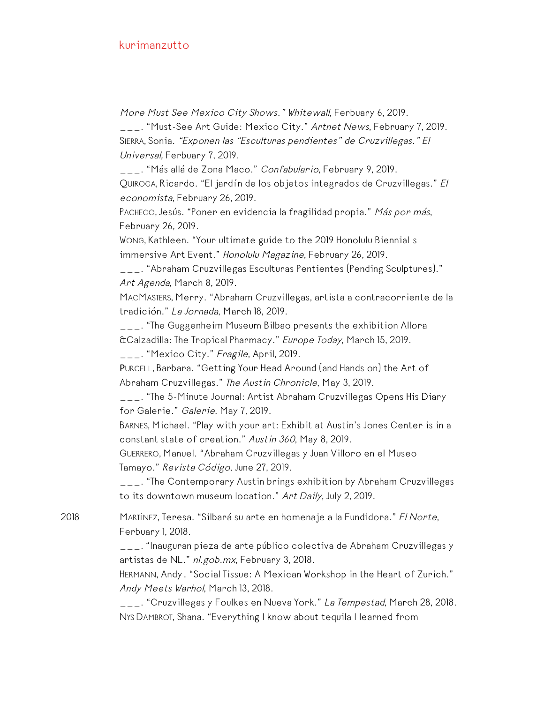More Must See Mexico City Shows." Whitewall, Ferbuary 6, 2019.

\_\_\_. "Must-See Art Guide: Mexico City." Artnet News, February 7, 2019. SIERRA, Sonia. "Exponen las "Esculturas pendientes" de Cruzvillegas." El Universal, Ferbuary 7, 2019.

\_\_\_. "Más allá de Zona Maco." *Confabulario*, February 9, 2019. QUIROGA, Ricardo. "El jardín de los objetos integrados de Cruzvillegas." El economista, February 26, 2019.

PACHECO, Jesús. "Poner en evidencia la fragilidad propia." Más por más, February 26, 2019.

WONG, Kathleen. "Your ultimate guide to the 2019 Honolulu Biennial s immersive Art Event." Honolulu Magazine, February 26, 2019.

\_\_\_. "Abraham Cruzvillegas Esculturas Pentientes (Pending Sculptures)." Art Agenda, March 8, 2019.

MACMASTERS, Merry. "Abraham Cruzvillegas, artista a contracorriente de la tradición." La Jornada, March 18, 2019.

\_\_\_. "The Guggenheim Museum Bilbao presents the exhibition Allora &Calzadilla: The Tropical Pharmacy." Europe Today, March 15, 2019. \_\_\_. "Mexico City." Fragile, April, 2019.

PURCELL, Barbara. "Getting Your Head Around (and Hands on) the Art of Abraham Cruzvillegas." The Austin Chronicle, May 3, 2019.

\_\_\_. "The 5-Minute Journal: Artist Abraham Cruzvillegas Opens His Diary for Galerie." Galerie, May 7, 2019.

BARNES, Michael. "Play with your art: Exhibit at Austin's Jones Center is in a constant state of creation." Austin <sup>360</sup>, May 8, 2019.

GUERRERO, Manuel. "Abraham Cruzvillegas y Juan Villoro en el Museo Tamayo." Revista Código, June 27, 2019.

\_\_\_. "The Contemporary Austin brings exhibition by Abraham Cruzvillegas to its downtown museum location." Art Daily, July 2, 2019.

2018 MARTÍNEZ, Teresa. "Silbará su arte en homenaje a la Fundidora." El Norte, Ferbuary 1, 2018.

> \_\_\_. "Inauguran pieza de arte público colectiva de Abraham Cruzvillegas y artistas de NL." nl. gob. mx, February 3, 2018.

> HERMANN, Andy. "Social Tissue: A Mexican Workshop in the Heart of Zurich." Andy Meets Warhol, March 13, 2018.

\_\_\_. "Cruzvillegas y Foulkes en Nueva York." La Tempestad, March 28, 2018. NYS DAMBROT, Shana. "Everything I know about tequila I learned from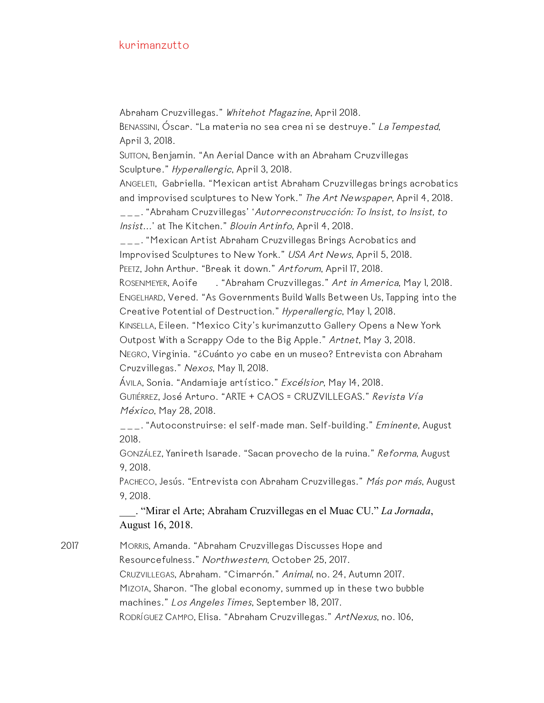Abraham Cruzvillegas." Whitehot Magazine, April 2018.

BENASSINI, Óscar. "La materia no sea crea ni se destruye." La Tempestad, April 3, 2018.

SUTTON, Benjamin. "An Aerial Dance with an Abraham Cruzvillegas Sculpture." Hyperallergic, April 3, 2018.

ANGELETI, Gabriella. "Mexican artist Abraham Cruzvillegas brings acrobatics and improvised sculptures to New York." The Art Newspaper, April 4, 2018.

\_\_\_. "Abraham Cruzvillegas' 'Autorreconstrucción: To Insist, to Insist, to Insist...' at The Kitchen." Blouin Artinfo, April 4, 2018.

\_\_\_. "Mexican Artist Abraham Cruzvillegas Brings Acrobatics and Improvised Sculptures to New York." USA Art News, April 5, 2018.

PEETZ, John Arthur. "Break it down." Artforum, April 17, 2018.

ROSENMEYER, Aoife . "Abraham Cruzvillegas." Art in America, May 1, 2018. ENGELHARD, Vered. "As Governments Build Walls Between Us, Tapping into the Creative Potential of Destruction." Hyperallergic, May 1, 2018.

KINSELLA, Eileen. "Mexico City's kurimanzutto Gallery Opens a New York Outpost With a Scrappy Ode to the Big Apple." Artnet, May 3, 2018.

NEGRO, Virginia. "¿Cuánto yo cabe en un museo? Entrevista con Abraham Cruzvillegas." Nexos, May 11, 2018.

ÁVILA, Sonia. "Andamiaje artístico." Excélsior, May 14, 2018. GUTIÉRREZ, José Arturo. "ARTE + CAOS = CRUZVILLEGAS." Revista Vía México, May 28, 2018.

\_\_\_. "Autoconstruirse: el self-made man. Self-building." Eminente, August 2018.

GONZÁLEZ, Yanireth Isarade. "Sacan provecho de la ruina." Reforma, August 9, 2018.

PACHECO, Jesús. "Entrevista con Abraham Cruzvillegas." *Más por más*, August 9, 2018.

\_\_\_. "Mirar el Arte; Abraham Cruzvillegas en el Muac CU." *La Jornada*, August 16, 2018.

2017 MORRIS, Amanda. "Abraham Cruzvillegas Discusses Hope and Resourcefulness." Northwestern, October 25, 2017. CRUZVILLEGAS, Abraham. "Cimarrón." Animal, no. 24, Autumn 2017. MIZOTA, Sharon. "The global economy, summed up in these two bubble machines." Los Angeles Times, September 18, 2017. RODRÍGUEZ CAMPO, Elisa. "Abraham Cruzvillegas." ArtNexus, no. 106,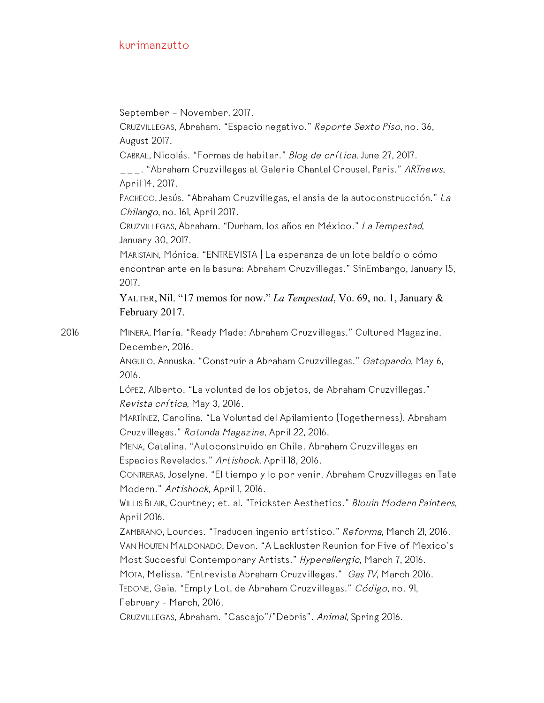September – November, 2017.

CRUZVILLEGAS, Abraham. "Espacio negativo." Reporte Sexto Piso, no. 36, August 2017.

CABRAL, Nicolás. "Formas de habitar." Blog de crítica, June 27, 2017.

\_\_\_. "Abraham Cruzvillegas at Galerie Chantal Crousel, Paris." ARTnews, April 14, 2017.

PACHECO, Jesús. "Abraham Cruzvillegas, el ansia de la autoconstrucción." La Chilango, no. 161, April 2017.

CRUZVILLEGAS, Abraham. "Durham, los años en México." La Tempestad, January 30, 2017.

MARISTAIN, Mónica. "ENTREVISTA | La esperanza de un lote baldío o cómo encontrar arte en la basura: Abraham Cruzvillegas." SinEmbargo, January 15, 2017.

YALTER, Nil. "17 memos for now." *La Tempestad*, Vo. 69, no. 1, January & February 2017.

2016 MINERA, María. "Ready Made: Abraham Cruzvillegas." Cultured Magazine, December, 2016.

> ANGULO, Annuska. "Construir a Abraham Cruzvillegas." Gatopardo, May 6, 2016.

LÓPEZ, Alberto. "La voluntad de los objetos, de Abraham Cruzvillegas." Revista crítica, May 3, 2016.

MARTÍNEZ, Carolina. "La Voluntad del Apilamiento (Togetherness). Abraham Cruzvillegas." Rotunda Magazine, April 22, 2016.

MENA, Catalina. "Autoconstruido en Chile. Abraham Cruzvillegas en Espacios Revelados." Artishock, April 18, 2016.

CONTRERAS, Joselyne. "El tiempo y lo por venir. Abraham Cruzvillegas en Tate Modern." Artishock, April I, 2016.

WILLIS BLAIR, Courtney; et. al. "Trickster Aesthetics." Blouin Modern Painters, April 2016.

ZAMBRANO, Lourdes. "Traducen ingenio artístico." Reforma, March 21, 2016. VAN HOUTEN MALDONADO, Devon. "A Lackluster Reunion for Five of Mexico's Most Succesful Contemporary Artists." Hyperallergic, March 7, 2016.

MOTA, Melissa. "Entrevista Abraham Cruzvillegas." Gas TV, March 2016. TEDONE, Gaia. "Empty Lot, de Abraham Cruzvillegas." Código, no. 91, February - March, 2016.

CRUZVILLEGAS, Abraham. "Cascajo"/"Debris". Animal, Spring 2016.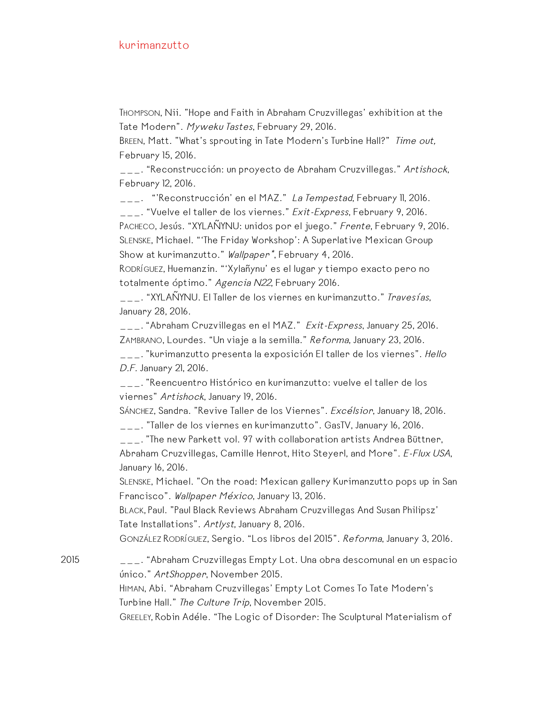THOMPSON, Nii. "Hope and Faith in Abraham Cruzvillegas' exhibition at the Tate Modern". Myweku Tastes, February 29, 2016.

BREEN, Matt. "What's sprouting in Tate Modern's Turbine Hall?" Time out, February 15, 2016.

\_\_\_. "Reconstrucción: un proyecto de Abraham Cruzvillegas." Artishock, February 12, 2016.

\_\_\_. "'Reconstrucción' en el MAZ." La Tempestad, February II, 2016.

\_\_\_. "Vuelve el taller de los viernes." Exit-Express, February 9, 2016. PACHECO, Jesús. "XYLAÑYNU: unidos por el juego." Frente, February 9, 2016. SLENSKE, Michael. "'The Friday Workshop': A Superlative Mexican Group Show at kurimanzutto." Wallpaper<sup>\*</sup>, February 4, 2016.

RODRÍGUEZ, Huemanzin. "'Xylañynu' es el lugar y tiempo exacto pero no totalmente óptimo." Agencia N22, February 2016.

\_\_\_. "XYLAÑYNU. El Taller de los viernes en kurimanzutto." Travesías, January 28, 2016.

\_\_\_. "Abraham Cruzvillegas en el MAZ." Exit-Express, January 25, 2016. ZAMBRANO, Lourdes. "Un viaje a la semilla." Reforma, January 23, 2016.

\_\_\_. "kurimanzutto presenta la exposición El taller de los viernes". Hello D.F. January 21, 2016.

\_\_\_. "Reencuentro Histórico en kurimanzutto: vuelve el taller de los viernes" Artishock, January 19, 2016.

SÁNCHEZ, Sandra. "Revive Taller de los Viernes". Excélsior, January 18, 2016.

\_\_\_. "Taller de los viernes en kurimanzutto". GasTV, January 16, 2016.

\_\_\_. "The new Parkett vol. 97 with collaboration artists Andrea Büttner, Abraham Cruzvillegas, Camille Henrot, Hito Steyerl, and More". E-Flux USA, January 16, 2016.

SLENSKE, Michael. "On the road: Mexican gallery Kurimanzutto pops up in San Francisco". Wallpaper México, January 13, 2016.

BLACK, Paul. "Paul Black Reviews Abraham Cruzvillegas And Susan Philipsz' Tate Installations". Artlyst, January 8, 2016.

GONZÁLEZ RODRÍGUEZ, Sergio. "Los libros del 2015". Reforma, January 3, 2016.

2015 \_\_\_. "Abraham Cruzvillegas Empty Lot. Una obra descomunal en un espacio único." ArtShopper, November 2015.

> HIMAN, Abi. "Abraham Cruzvillegas' Empty Lot Comes To Tate Modern's Turbine Hall." The Culture Trip, November 2015.

GREELEY, Robin Adéle. "The Logic of Disorder: The Sculptural Materialism of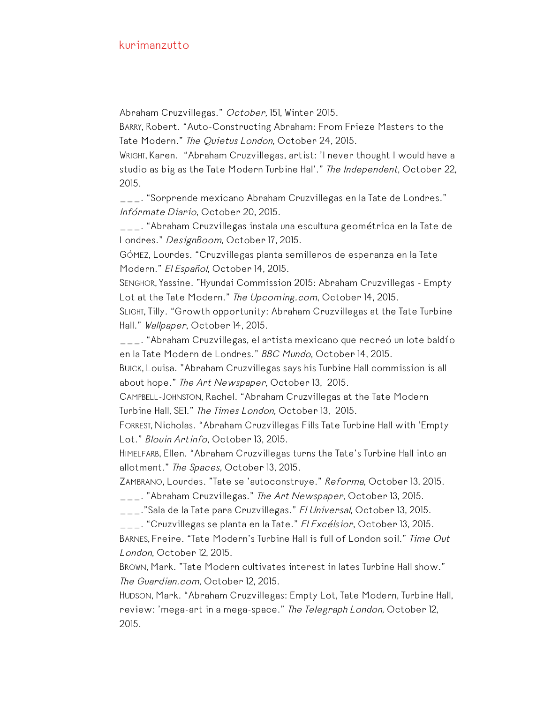Abraham Cruzvillegas." October, 151, Winter 2015.

BARRY, Robert. "Auto-Constructing Abraham: From Frieze Masters to the Tate Modern." The Quietus London, October 24, 2015.

WRIGHT, Karen. "Abraham Cruzvillegas, artist: 'I never thought I would have a studio as big as the Tate Modern Turbine Hal'." The Independent, October 22, 2015.

\_\_\_. "Sorprende mexicano Abraham Cruzvillegas en la Tate de Londres." Infórmate Diario, October 20, 2015.

\_\_\_. "Abraham Cruzvillegas instala una escultura geométrica en la Tate de Londres." DesignBoom, October 17, 2015.

GÓMEZ, Lourdes. "Cruzvillegas planta semilleros de esperanza en la Tate Modern." El Español, October 14, 2015.

SENGHOR, Yassine. "Hyundai Commission 2015: Abraham Cruzvillegas - Empty Lot at the Tate Modern." The Upcoming.com, October 14, 2015.

SLIGHT, Tilly. "Growth opportunity: Abraham Cruzvillegas at the Tate Turbine Hall." Wallpaper, October 14, 2015.

\_\_\_. "Abraham Cruzvillegas, el artista mexicano que recreó un lote baldío en la Tate Modern de Londres." BBC Mundo, October 14, 2015.

BUICK, Louisa. "Abraham Cruzvillegas says his Turbine Hall commission is all about hope." The Art Newspaper, October 13, 2015.

CAMPBELL-JOHNSTON, Rachel. "Abraham Cruzvillegas at the Tate Modern Turbine Hall, SE1." The Times London, October 13, 2015.

FORREST, Nicholas. "Abraham Cruzvillegas Fills Tate Turbine Hall with 'Empty Lot." Blouin Artinfo, October 13, 2015.

HIMELFARB, Ellen. "Abraham Cruzvillegas turns the Tate's Turbine Hall into an allotment." The Spaces, October 13, 2015.

ZAMBRANO, Lourdes. "Tate se 'autoconstruye." Reforma, October 13, 2015. \_\_\_. "Abraham Cruzvillegas." The Art Newspaper, October 13, 2015.

\_\_\_."Sala de la Tate para Cruzvillegas." El Universal, October 13, 2015.

\_\_\_. "Cruzvillegas se planta en la Tate." El Excélsior, October 13, 2015.

BARNES, Freire. "Tate Modern's Turbine Hall is full of London soil." Time Out London, October 12, 2015.

BROWN, Mark. "Tate Modern cultivates interest in lates Turbine Hall show." The Guardian.com, October 12, 2015.

HUDSON, Mark. "Abraham Cruzvillegas: Empty Lot, Tate Modern, Turbine Hall, review: 'mega-art in a mega-space." The Telegraph London, October 12, 2015.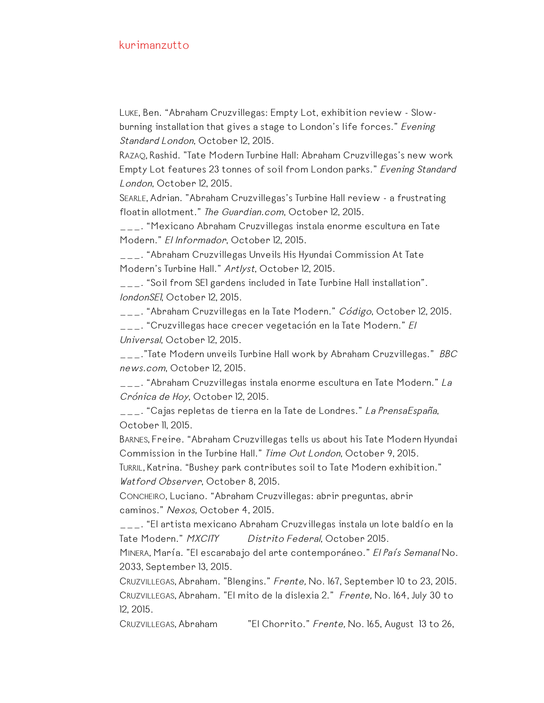LUKE, Ben. "Abraham Cruzvillegas: Empty Lot, exhibition review - Slowburning installation that gives a stage to London's life forces." Evening Standard London, October 12, 2015.

RAZAQ, Rashid. "Tate Modern Turbine Hall: Abraham Cruzvillegas's new work Empty Lot features 23 tonnes of soil from London parks." Evening Standard London, October 12, 2015.

SEARLE, Adrian. "Abraham Cruzvillegas's Turbine Hall review - a frustrating floatin allotment." The Guardian.com, October 12, 2015.

\_\_\_. "Mexicano Abraham Cruzvillegas instala enorme escultura en Tate Modern." El Informador, October 12, 2015.

\_\_\_. "Abraham Cruzvillegas Unveils His Hyundai Commission At Tate Modern's Turbine Hall." Artlyst, October 12, 2015.

\_\_\_. "Soil from SE1 gardens included in Tate Turbine Hall installation". londonSE1, October 12, 2015.

\_\_\_. "Abraham Cruzvillegas en la Tate Modern." Código, October 12, 2015. \_\_\_. "Cruzvillegas hace crecer vegetación en la Tate Modern." El

Universal, October 12, 2015.

 $\mu_{\text{max}}$ ."Tate Modern unveils Turbine Hall work by Abraham Cruzvillegas." *BBC* news.com, October 12, 2015.

\_\_\_. "Abraham Cruzvillegas instala enorme escultura en Tate Modern." La Crónica de Hoy, October 12, 2015.

\_\_\_. "Cajas repletas de tierra en la Tate de Londres." La PrensaEspaña, October II, 2015.

BARNES, Freire. "Abraham Cruzvillegas tells us about his Tate Modern Hyundai Commission in the Turbine Hall." Time Out London, October 9, 2015.

TURRIL, Katrina. "Bushey park contributes soil to Tate Modern exhibition." Watford Observer, October 8, 2015.

CONCHEIRO, Luciano. "Abraham Cruzvillegas: abrir preguntas, abrir caminos." Nexos, October 4, 2015.

\_\_\_. "El artista mexicano Abraham Cruzvillegas instala un lote baldío en la Tate Modern." *MXCITY Distrito Federal*, October 2015.

MINERA, María. "El escarabajo del arte contemporáneo." El País Semanal No. 2033, September 13, 2015.

CRUZVILLEGAS, Abraham. "Blengins." Frente, No. 167, September 10 to 23, 2015. CRUZVILLEGAS, Abraham. "El mito de la dislexia 2." Frente, No. 164, July 30 to 12, 2015.

CRUZVILLEGAS, Abraham "El Chorrito." Frente, No. 165, August 13 to 26,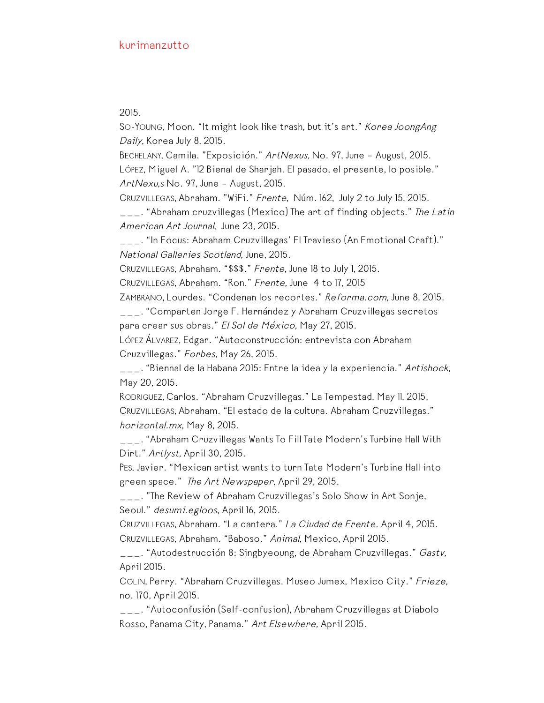2015.

SO-YOUNG, Moon. "It might look like trash, but it's art." Korea JoongAng Daily, Korea July 8, 2015.

BECHELANY, Camila. "Exposición." ArtNexus, No. 97, June – August, 2015. LÓPEZ, Miguel A. "12 Bienal de Sharjah. El pasado, el presente, lo posible." ArtNexu,s No. 97, June – August, 2015.

CRUZVILLEGAS, Abraham. "WiFi." Frente, Núm. 162, July 2 to July 15, 2015.

 $\Box$ . "Abraham cruzvillegas (Mexico) The art of finding objects." The Latin American Art Journal, June 23, 2015.

\_\_\_. "In Focus: Abraham Cruzvillegas' El Travieso (An Emotional Craft)." National Galleries Scotland, June, 2015.

CRUZVILLEGAS, Abraham. "\$\$\$." Frente, June 18 to July 1, 2015.

CRUZVILLEGAS, Abraham. "Ron." Frente, June 4 to 17, 2015

ZAMBRANO, Lourdes. "Condenan los recortes." Reforma.com, June 8, 2015.

\_\_\_. "Comparten Jorge F. Hernández y Abraham Cruzvillegas secretos para crear sus obras." El Sol de México, May 27, 2015.

LÓPEZ ÁLVAREZ, Edgar. "Autoconstrucción: entrevista con Abraham Cruzvillegas." Forbes, May 26, 2015.

\_\_\_. "Biennal de la Habana 2015: Entre la idea y la experiencia." Artishock, May 20, 2015.

RODRIGUEZ, Carlos. "Abraham Cruzvillegas." La Tempestad, May 11, 2015. CRUZVILLEGAS, Abraham. "El estado de la cultura. Abraham Cruzvillegas." horizontal.mx, May 8, 2015.

\_\_\_. "Abraham Cruzvillegas Wants To Fill Tate Modern's Turbine Hall With Dirt." Artlyst, April 30, 2015.

PES, Javier. "Mexican artist wants to turn Tate Modern's Turbine Hall into green space." The Art Newspaper, April 29, 2015.

\_\_\_. "The Review of Abraham Cruzvillegas's Solo Show in Art Sonje, Seoul." desumi.egloos, April 16, 2015.

CRUZVILLEGAS, Abraham. "La cantera." La Ciudad de Frente. April 4, 2015. CRUZVILLEGAS, Abraham. "Baboso." Animal, Mexico, April 2015.

\_\_\_. "Autodestrucción 8: Singbyeoung, de Abraham Cruzvillegas." Gastv, April 2015.

COLIN, Perry. "Abraham Cruzvillegas. Museo Jumex, Mexico City." Frieze, no. 170, April 2015.

\_\_\_. "Autoconfusión (Self-confusion), Abraham Cruzvillegas at Diabolo Rosso, Panama City, Panama." Art Elsewhere, April 2015.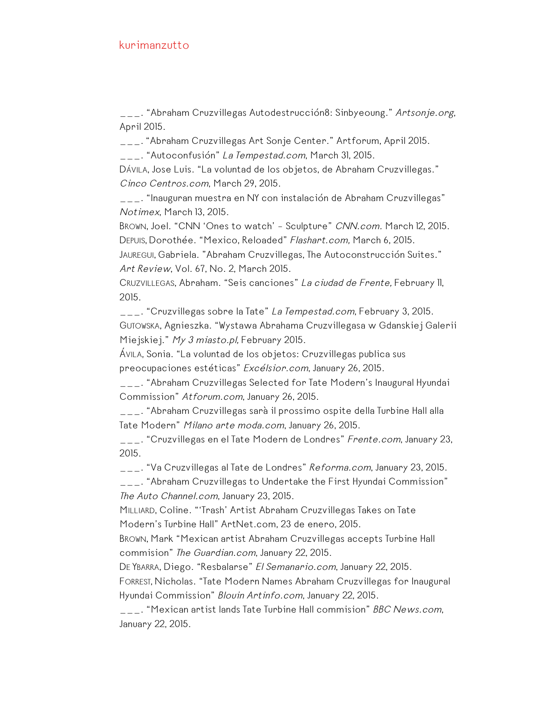\_\_\_. "Abraham Cruzvillegas Autodestrucción8: Sinbyeoung." Artsonje.org, April 2015.

\_\_\_. "Abraham Cruzvillegas Art Sonje Center." Artforum, April 2015.

\_\_\_. "Autoconfusión" La Tempestad.com, March 31, 2015.

DÁVILA, Jose Luis. "La voluntad de los objetos, de Abraham Cruzvillegas." Cinco Centros.com, March 29, 2015.

\_\_\_. "Inauguran muestra en NY con instalación de Abraham Cruzvillegas" Notimex, March 13, 2015.

BROWN, Joel. "CNN 'Ones to watch' – Sculpture" CNN.com. March 12, 2015. DEPUIS, Dorothée. "Mexico, Reloaded" Flashart.com, March 6, 2015.

JAUREGUI, Gabriela. "Abraham Cruzvillegas, The Autoconstrucción Suites." Art Review, Vol. 67, No. 2, March 2015.

CRUZVILLEGAS, Abraham. "Seis canciones" La ciudad de Frente, February 11, 2015.

\_\_\_. "Cruzvillegas sobre la Tate" La Tempestad.com, February 3, 2015. GUTOWSKA, Agnieszka. "Wystawa Abrahama Cruzvillegasa w Gdanskiej Galerii Miejskiej." My 3 miasto.pl, February 2015.

ÁVILA, Sonia. "La voluntad de los objetos: Cruzvillegas publica sus preocupaciones estéticas" Excélsior.com, January 26, 2015.

\_\_\_. "Abraham Cruzvillegas Selected for Tate Modern's Inaugural Hyundai Commission" Atforum.com, January 26, 2015.

\_\_\_. "Abraham Cruzvillegas sarà il prossimo ospite della Turbine Hall alla Tate Modern" Milano arte moda.com, January 26, 2015.

\_\_\_. "Cruzvillegas en el Tate Modern de Londres" Frente.com, January 23, 2015.

\_\_\_. "Va Cruzvillegas al Tate de Londres" Reforma.com, January 23, 2015.

\_\_\_. "Abraham Cruzvillegas to Undertake the First Hyundai Commission" The Auto Channel.com, January 23, 2015.

MILLIARD, Coline. "'Trash' Artist Abraham Cruzvillegas Takes on Tate Modern's Turbine Hall" ArtNet.com, 23 de enero, 2015.

BROWN, Mark "Mexican artist Abraham Cruzvillegas accepts Turbine Hall commision" The Guardian.com, January 22, 2015.

DE YBARRA, Diego. "Resbalarse" El Semanario.com, January 22, 2015.

FORREST, Nicholas. "Tate Modern Names Abraham Cruzvillegas for Inaugural Hyundai Commission" Blouin Artinfo.com, January 22, 2015.

\_\_\_. "Mexican artist lands Tate Turbine Hall commision" BBC News.com, January 22, 2015.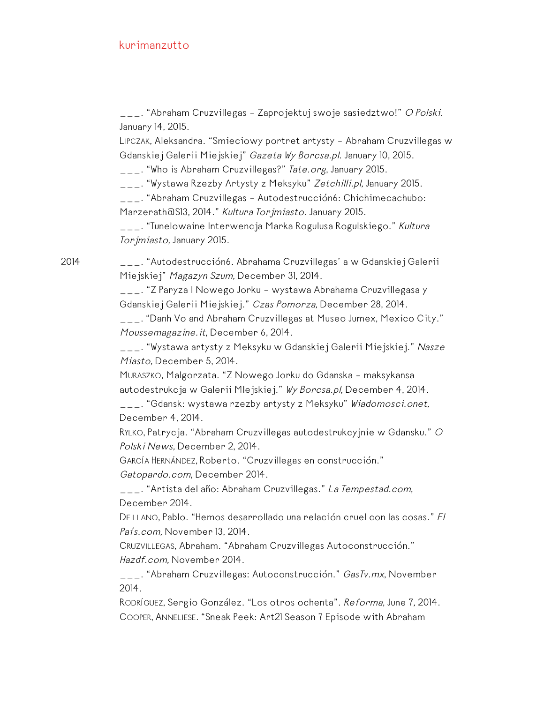\_\_\_. "Abraham Cruzvillegas - Zaprojektuj swoje sasiedztwo!" O Polski. January 14, 2015.

LIPCZAK, Aleksandra. "Smieciowy portret artysty – Abraham Cruzvillegas w Gdanskiej Galerii Miejskiej" Gazeta Wy Borcsa.pl. January 10, 2015.

\_\_\_. "Who is Abraham Cruzvillegas?" Tate.org, January 2015.

\_\_\_. "Wystawa Rzezby Artysty z Meksyku" Zetchilli.pl, January 2015.

\_\_\_. "Abraham Cruzvillegas – Autodestrucción6: Chichimecachubo: Marzerath@S13, 2014." Kultura Torjmiasto. January 2015.

\_\_\_. "Tunelowaine Interwencja Marka Rogulusa Rogulskiego." Kultura Torjmiasto, January 2015.

2014 \_\_\_. "Autodestrucción6. Abrahama Cruzvillegas' a w Gdanskiej Galerii Miejskiej" Magazyn Szum, December 31, 2014.

> \_\_\_. "Z Paryza I Nowego Jorku – wystawa Abrahama Cruzvillegasa y Gdanskiej Galerii Miejskiej." Czas Pomorza, December 28, 2014.

\_\_\_. "Danh Vo and Abraham Cruzvillegas at Museo Jumex, Mexico City." Moussemagazine.it, December 6, 2014.

\_\_\_. "Wystawa artysty z Meksyku w Gdanskiej Galerii Miejskiej." Nasze Miasto, December 5, 2014.

MURASZKO, Malgorzata. "Z Nowego Jorku do Gdanska – maksykansa autodestrukcja w Galerii Mlejskiej." Wy Borcsa.pl, December 4, 2014.

\_\_\_. "Gdansk: wystawa rzezby artysty z Meksyku" Wiadomosci.onet, December 4, 2014.

RYLKO, Patrycja. "Abraham Cruzvillegas autodestrukcyjnie w Gdansku." <sup>O</sup> Polski News, December 2, 2014.

GARCÍA HERNÁNDEZ, Roberto. "Cruzvillegas en construcción."

Gatopardo.com, December 2014.

\_\_\_. "Artista del año: Abraham Cruzvillegas." La Tempestad.com, December 2014.

DE LLANO, Pablo. "Hemos desarrollado una relación cruel con las cosas." El País.com, November 13, 2014.

CRUZVILLEGAS, Abraham. "Abraham Cruzvillegas Autoconstrucción." Hazdf.com, November 2014.

\_\_\_. "Abraham Cruzvillegas: Autoconstrucción." GasTv.mx, November 2014.

RODRÍGUEZ, Sergio González. "Los otros ochenta". Reforma, June 7, 2014. COOPER, ANNELIESE. "Sneak Peek: Art21 Season 7 Episode with Abraham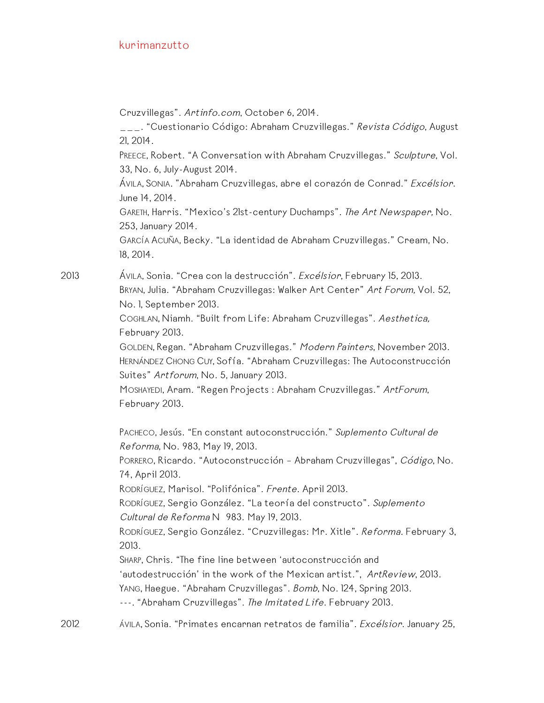Cruzvillegas". Artinfo.com, October 6, 2014.

\_\_\_. "Cuestionario Código: Abraham Cruzvillegas." Revista Código, August 21, 2014.

PREECE, Robert. "A Conversation with Abraham Cruzvillegas." Sculpture, Vol. 33, No. 6, July-August 2014.

ÁVILA, SONIA. "Abraham Cruzvillegas, abre el corazón de Conrad." Excélsior. June 14, 2014.

GARETH, Harris. "Mexico's 21st-century Duchamps". The Art Newspaper, No. 253, January 2014.

GARCÍA ACUÑA, Becky. "La identidad de Abraham Cruzvillegas." Cream, No. 18, 2014.

2013 ÁVILA, Sonia. "Crea con la destrucción". Excélsior, February 15, 2013. BRYAN, Julia. "Abraham Cruzvillegas: Walker Art Center" Art Forum, Vol. 52, No. 1, September 2013.

> COGHLAN, Niamh. "Built from Life: Abraham Cruzvillegas". Aesthetica, February 2013.

GOLDEN, Regan. "Abraham Cruzvillegas." Modern Painters, November 2013. HERNÁNDEZ CHONG CUY, Sofía. "Abraham Cruzvillegas: The Autoconstrucción Suites" Artforum, No. 5, January 2013.

MOSHAYEDI, Aram. "Regen Projects : Abraham Cruzvillegas." ArtForum, February 2013.

PACHECO, Jesús. "En constant autoconstrucción." Suplemento Cultural de Reforma, No. 983, May 19, 2013.

PORRERO, Ricardo. "Autoconstrucción - Abraham Cruzvillegas", Código, No. 74, April 2013.

RODRÍGUEZ, Marisol. "Polifónica". Frente. April 2013.

RODRÍGUEZ, Sergio González. "La teoría del constructo". Suplemento Cultural de Reforma N 983. May 19, 2013.

RODRÍGUEZ, Sergio González. "Cruzvillegas: Mr. Xitle". Reforma. February 3, 2013.

SHARP, Chris. "The fine line between 'autoconstrucción and 'autodestrucción' in the work of the Mexican artist.", ArtReview, 2013. YANG, Haegue. "Abraham Cruzvillegas". Bomb, No. 124, Spring 2013. ---. "Abraham Cruzvillegas". The Imitated Life. February 2013.

2012 *ÁVILA, Sonia. "Primates encarnan retratos de familia". Excélsior. January 25,*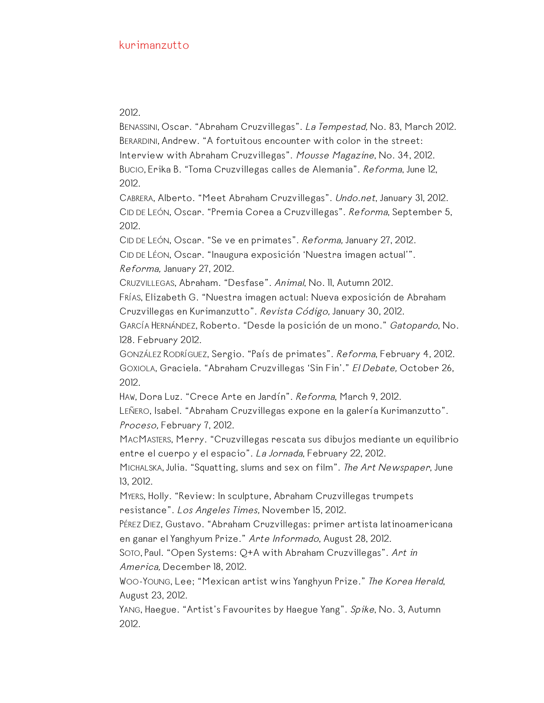2012.

BENASSINI, Oscar. "Abraham Cruzvillegas". La Tempestad, No. 83, March 2012. BERARDINI, Andrew. "A fortuitous encounter with color in the street: Interview with Abraham Cruzvillegas". Mousse Magazine, No. 34, 2012. BUCIO, Erika B. "Toma Cruzvillegas calles de Alemania". Reforma, June 12, 2012.

CABRERA, Alberto. "Meet Abraham Cruzvillegas". Undo.net, January 31, 2012. CID DE LEÓN, Oscar. "Premia Corea a Cruzvillegas". Reforma, September 5, 2012.

CID DE LEÓN, Oscar. "Se ve en primates". Reforma, January 27, 2012. CID DE LÉON, Oscar. "Inaugura exposición 'Nuestra imagen actual'".

Reforma, January 27, 2012.

CRUZVILLEGAS, Abraham. "Desfase". Animal, No. 11, Autumn 2012.

FRÍAS, Elizabeth G. "Nuestra imagen actual: Nueva exposición de Abraham Cruzvillegas en Kurimanzutto". Revista Código, January 30, 2012.

GARCÍA HERNÁNDEZ, Roberto. "Desde la posición de un mono." Gatopardo, No. 128. February 2012.

GONZÁLEZ RODRÍGUEZ, Sergio. "País de primates". Reforma, February 4, 2012. GOXIOLA, Graciela. "Abraham Cruzvillegas 'Sin Fin'." El Debate, October 26, 2012.

HAW, Dora Luz. "Crece Arte en Jardín". Reforma, March 9, 2012.

LEÑERO, Isabel. "Abraham Cruzvillegas expone en la galería Kurimanzutto". Proceso, February 7, 2012.

MACMASTERS, Merry. "Cruzvillegas rescata sus dibujos mediante un equilibrio entre el cuerpo y el espacio". La Jornada, February 22, 2012.

MICHALSKA, Julia. "Squatting, slums and sex on film". The Art Newspaper, June 13, 2012.

MYERS, Holly. "Review: In sculpture, Abraham Cruzvillegas trumpets resistance". Los Angeles Times, November 15, 2012.

PÉREZ DIEZ, Gustavo. "Abraham Cruzvillegas: primer artista latinoamericana en ganar el Yanghyum Prize." Arte Informado, August 28, 2012.

SOTO, Paul. "Open Systems: Q+A with Abraham Cruzvillegas". Art in America, December 18, 2012.

WOO-YOUNG, Lee; "Mexican artist wins Yanghyun Prize." The Korea Herald, August 23, 2012.

YANG, Haegue. "Artist's Favourites by Haegue Yang". Spike, No. 3, Autumn 2012.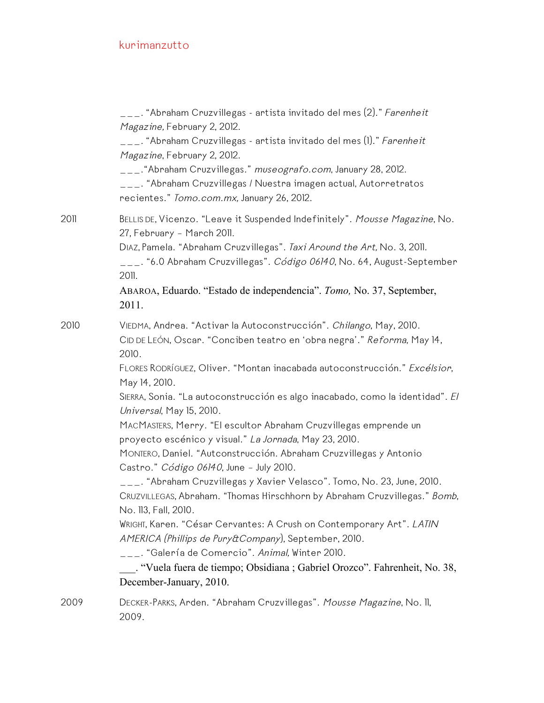|      | ___. "Abraham Cruzvillegas - artista invitado del mes (2)." <i>Farenheit</i><br>Magazine, February 2, 2012.<br>___. "Abraham Cruzvillegas - artista invitado del mes (1)." <i>Farenheit</i><br>Magazine, February 2, 2012.<br>___."Abraham Cruzvillegas." museografo.com, January 28, 2012.<br>___. "Abraham Cruzvillegas / Nuestra imagen actual, Autorretratos<br>recientes." Tomo.com.mx, January 26, 2012.                                                                                                                                                                                                                                                                                                                                                                                                                                                                                                                                                                                                   |
|------|------------------------------------------------------------------------------------------------------------------------------------------------------------------------------------------------------------------------------------------------------------------------------------------------------------------------------------------------------------------------------------------------------------------------------------------------------------------------------------------------------------------------------------------------------------------------------------------------------------------------------------------------------------------------------------------------------------------------------------------------------------------------------------------------------------------------------------------------------------------------------------------------------------------------------------------------------------------------------------------------------------------|
| 2011 | BELLIS DE, Vicenzo. "Leave it Suspended Indefinitely". Mousse Magazine, No.<br>27, February - March 2011.<br>DIAZ, Pamela. "Abraham Cruzvillegas". Taxi Around the Art, No. 3, 2011.<br>___. "6.0 Abraham Cruzvillegas". <i>Código 06140</i> , No. 64, August-September<br>2011.<br>ABAROA, Eduardo. "Estado de independencia". Tomo, No. 37, September,<br>2011.                                                                                                                                                                                                                                                                                                                                                                                                                                                                                                                                                                                                                                                |
| 2010 | VIEDMA, Andrea. "Activar la Autoconstrucción". Chilango, May, 2010.<br>CID DE LEÓN, Oscar. "Conciben teatro en 'obra negra'." Reforma, May 14,<br>2010.<br>FLORES RODRÍGUEZ, Oliver. "Montan inacabada autoconstrucción." Excélsior,<br>May 14, 2010.<br>SIERRA, Sonia. "La autoconstrucción es algo inacabado, como la identidad". El<br>Universal, May 15, 2010.<br>MACMASTERS, Merry. "El escultor Abraham Cruzvillegas emprende un<br>proyecto escénico y visual." La Jornada, May 23, 2010.<br>MONTERO, Daniel. "Autconstrucción. Abraham Cruzvillegas y Antonio<br>Castro." Código 06140, June - July 2010.<br>___. "Abraham Cruzvillegas y Xavier Velasco". Tomo, No. 23, June, 2010.<br>CRUZVILLEGAS, Abraham. "Thomas Hirschhorn by Abraham Cruzvillegas." Bomb,<br>No. 113, Fall, 2010.<br>WRIGHT, Karen. "César Cervantes: A Crush on Contemporary Art". LATIN<br>AMERICA (Phillips de Pury&Company), September, 2010.<br>___. "Galería de Comercio". Animal, Winter 2010.<br>December-January, 2010. |
| 2009 | DECKER-PARKS, Arden. "Abraham Cruzvillegas". Mousse Magazine, No. II,<br>2009.                                                                                                                                                                                                                                                                                                                                                                                                                                                                                                                                                                                                                                                                                                                                                                                                                                                                                                                                   |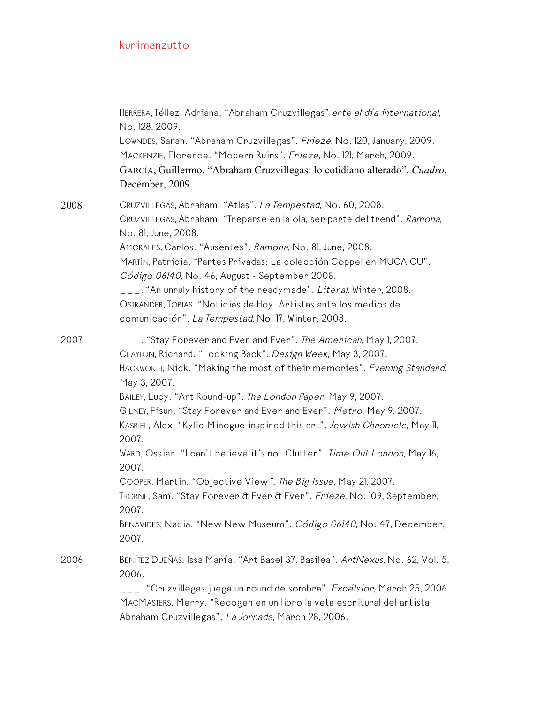|      | HERRERA, Téllez, Adriana. "Abraham Cruzvillegas" arte al día international,<br>No. 128, 2009.<br>LOWNDES, Sarah. "Abraham Cruzvillegas". Frieze, No. 120, January, 2009.<br>MACKENZIE, Florence. "Modern Ruins". Frieze, No. 121, March, 2009.<br>GARCÍA, Guillermo. "Abraham Cruzvillegas: lo cotidiano alterado". Cuadro,<br>December, 2009.                                                                                                                                                                                                                                                                                                                                                                                                                                                  |
|------|-------------------------------------------------------------------------------------------------------------------------------------------------------------------------------------------------------------------------------------------------------------------------------------------------------------------------------------------------------------------------------------------------------------------------------------------------------------------------------------------------------------------------------------------------------------------------------------------------------------------------------------------------------------------------------------------------------------------------------------------------------------------------------------------------|
| 2008 | CRUZVILLEGAS, Abraham. "Atlas". La Tempestad, No. 60, 2008.<br>CRUZVILLEGAS, Abraham. "Treparse en la ola, ser parte del trend". Ramona,<br>No. 81, June, 2008.<br>AMORALES, Carlos. "Ausentes". Ramona, No. 81, June, 2008.<br>MARTÍN, Patricia. "Partes Privadas: La colección Coppel en MUCA CU".<br>Código 06140, No. 46, August - September 2008.<br>___. "An unruly history of the readymade". Literal, Winter, 2008.<br>OSTRANDER, TOBIAS. "Noticias de Hoy. Artistas ante los medios de<br>comunicación". La Tempestad, No. 17, Winter, 2008.                                                                                                                                                                                                                                           |
| 2007 | ___. "Stay Forever and Ever and Ever". <i>The American</i> , May 1, 2007.<br>CLAYTON, Richard. "Looking Back". Design Week, May 3, 2007.<br>HACKWORTH, Nick. "Making the most of their memories". Evening Standard,<br>May 3, 2007.<br>BAILEY, Lucy. "Art Round-up". The London Paper, May 9, 2007.<br>GILNEY, Fisun. "Stay Forever and Ever and Ever". Metro, May 9, 2007.<br>KASRIEL, Alex. "Kylie Minogue inspired this art". Jewish Chronicle, May II,<br>2007.<br>WARD, Ossian. "I can't believe it's not Clutter". Time Out London, May 16,<br>2007.<br>COOPER, Martin. "Objective View". The Big Issue, May 21, 2007.<br>THORNE, Sam. "Stay Forever & Ever & Ever". Frieze, No. 109, September,<br>2007.<br>BENAVIDES, Nadia. "New New Museum". Código 06140, No. 47, December,<br>2007. |
| 2006 | BENÍTEZ DUEÑAS, Issa María. "Art Basel 37, Basilea". ArtNexus, No. 62, Vol. 5,<br>2006.<br><sub>-——</sub> . "Cruzvillegas juega un round de sombra". <i>Excélsior</i> , March 25, 2006.<br>MACMASTERS, Merry. "Recogen en un libro la veta escritural del artista<br>Abraham Cruzvillegas". La Jornada, March 28, 2006.                                                                                                                                                                                                                                                                                                                                                                                                                                                                         |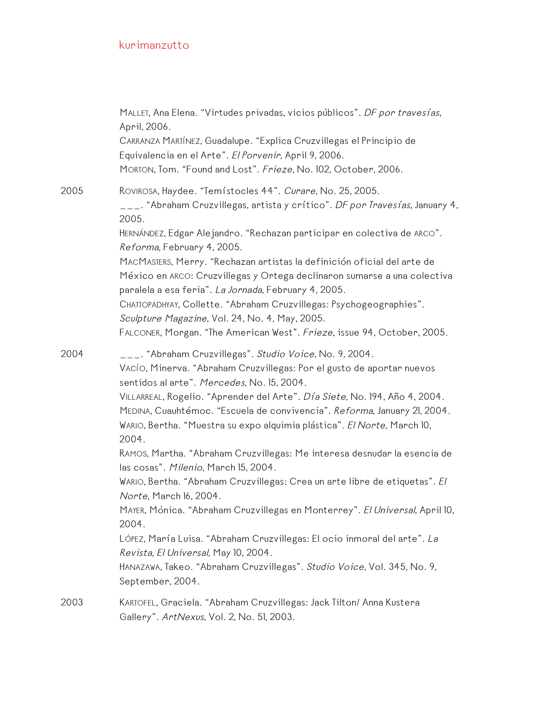|      | MALLET, Ana Elena. "Virtudes privadas, vicios públicos". DF por travesías,<br>April, 2006.<br>CARRANZA MARTÍNEZ, Guadalupe. "Explica Cruzvillegas el Principio de<br>Equivalencia en el Arte". El Porvenir, April 9, 2006.<br>MORTON, Tom. "Found and Lost". Frieze, No. 102, October, 2006.                                             |
|------|------------------------------------------------------------------------------------------------------------------------------------------------------------------------------------------------------------------------------------------------------------------------------------------------------------------------------------------|
| 2005 | ROVIROSA, Haydee. "Temístocles 44". Curare, No. 25, 2005.<br>___. "Abraham Cruzvillegas, artista y crítico". DF por Travesías, January 4,<br>2005.                                                                                                                                                                                       |
|      | HERNÁNDEZ, Edgar Alejandro. "Rechazan participar en colectiva de ARCO".<br>Reforma, February 4, 2005.                                                                                                                                                                                                                                    |
|      | MACMASTERS, Merry. "Rechazan artistas la definición oficial del arte de<br>México en ARCO: Cruzvillegas y Ortega declinaron sumarse a una colectiva<br>paralela a esa feria". La Jornada, February 4, 2005.                                                                                                                              |
|      | CHATTOPADHYAY, Collette. "Abraham Cruzvillegas: Psychogeographies".<br>Sculpture Magazine, Vol. 24, No. 4, May, 2005.<br>FALCONER, Morgan. "The American West". Frieze, issue 94, October, 2005.                                                                                                                                         |
| 2004 | ___. "Abraham Cruzvillegas". Studio Voice, No. 9, 2004.<br>VACÍO, Minerva. "Abraham Cruzvillegas: Por el gusto de aportar nuevos<br>sentidos al arte". Mercedes, No. 15, 2004.<br>VILLARREAL, Rogelio. "Aprender del Arte". Día Siete, No. 194, Año 4, 2004.<br>MEDINA, Cuauhtémoc. "Escuela de convivencia". Reforma, January 21, 2004. |
|      | WARIO, Bertha. "Muestra su expo alquimia plástica". El Norte, March 10,<br>2004.                                                                                                                                                                                                                                                         |
|      | RAMOS, Martha. "Abraham Cruzvillegas: Me interesa desnudar la esencia de<br>las cosas". Milenio, March 15, 2004.                                                                                                                                                                                                                         |
|      | WARIO, Bertha. "Abraham Cruzvillegas: Crea un arte libre de etiquetas". El<br>Norte, March 16, 2004.                                                                                                                                                                                                                                     |
|      | MAYER, Mónica. "Abraham Cruzvillegas en Monterrey". El Universal, April 10,<br>2004.                                                                                                                                                                                                                                                     |
|      | LÓPEZ, María Luisa. "Abraham Cruzvillegas: El ocio inmoral del arte". La<br>Revista, El Universal, May 10, 2004.                                                                                                                                                                                                                         |
|      | HANAZAWA, Takeo. "Abraham Cruzvillegas". Studio Voice, Vol. 345, No. 9,<br>September, 2004.                                                                                                                                                                                                                                              |
| 2003 | KARTOFEL, Graciela. "Abraham Cruzvillegas: Jack Tilton/ Anna Kustera<br>Gallery". ArtNexus, Vol. 2, No. 51, 2003.                                                                                                                                                                                                                        |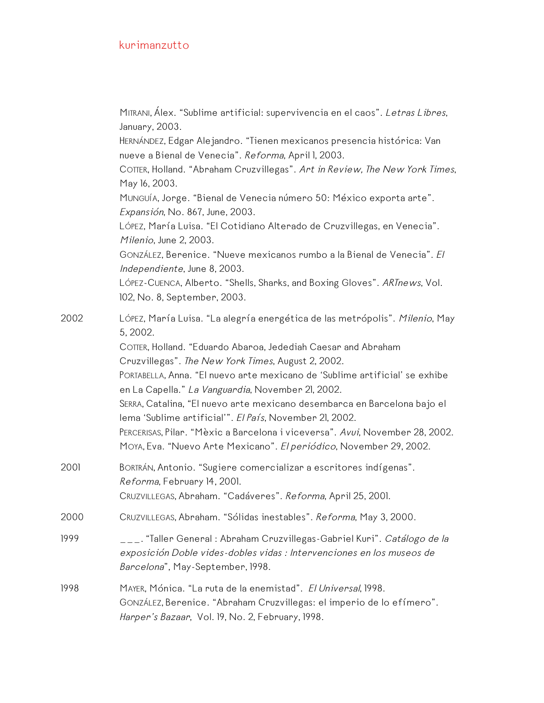|      | MITRANI, Alex. "Sublime artificial: supervivencia en el caos". Letras Libres,<br>January, 2003.                                                                                               |
|------|-----------------------------------------------------------------------------------------------------------------------------------------------------------------------------------------------|
|      | HERNÁNDEZ, Edgar Alejandro. "Tienen mexicanos presencia histórica: Van<br>nueve a Bienal de Venecia". Reforma, April 1, 2003.                                                                 |
|      | COTTER, Holland. "Abraham Cruzvillegas". Art in Review, The New York Times,<br>May 16, 2003.                                                                                                  |
|      | MUNGUÍA, Jorge. "Bienal de Venecia número 50: México exporta arte".<br>Expansión, No. 867, June, 2003.                                                                                        |
|      | Lórez, María Luisa. "El Cotidiano Alterado de Cruzvillegas, en Venecia".<br>Milenio, June 2, 2003.                                                                                            |
|      | GONZÁLEZ, Berenice. "Nueve mexicanos rumbo a la Bienal de Venecia". El<br>Independiente, June 8, 2003.                                                                                        |
|      | LÓPEZ-CUENCA, Alberto. "Shells, Sharks, and Boxing Gloves". ARTnews, Vol.<br>102, No. 8, September, 2003.                                                                                     |
| 2002 | LÓPEZ, María Luisa. "La alegría energética de las metrópolis". Milenio, May<br>5, 2002.                                                                                                       |
|      | COTTER, Holland. "Eduardo Abaroa, Jedediah Caesar and Abraham                                                                                                                                 |
|      | Cruzvillegas". The New York Times, August 2, 2002.                                                                                                                                            |
|      | PORTABELLA, Anna. "El nuevo arte mexicano de 'Sublime artificial' se exhibe<br>en La Capella." La Vanguardia, November 21, 2002.                                                              |
|      | SERRA, Catalina, "El nuevo arte mexicano desembarca en Barcelona bajo el<br>lema 'Sublime artificial'". El País, November 21, 2002.                                                           |
|      | PERCERISAS, Pilar. "Mèxic a Barcelona i viceversa". Avui, November 28, 2002.<br>MOYA, Eva. "Nuevo Arte Mexicano". El periódico, November 29, 2002.                                            |
| 2001 | BORTRÁN, Antonio. "Sugiere comercializar a escritores indígenas".<br>Reforma, February 14, 2001.                                                                                              |
|      | CRUZVILLEGAS, Abraham. "Cadáveres". Reforma, April 25, 2001.                                                                                                                                  |
| 2000 | CRUZVILLEGAS, Abraham. "Sólidas inestables". Reforma, May 3, 2000.                                                                                                                            |
| 1999 | ___. "Taller General : Abraham Cruzvillegas-Gabriel Kuri". <i>Catálogo de la</i><br>exposición Doble vides-dobles vidas : Intervenciones en los museos de<br>Barcelona", May-September, 1998. |
| 1998 | MAYER, Mónica. "La ruta de la enemistad". El Universal, 1998.<br>GONZÁLEZ, Berenice. "Abraham Cruzvillegas: el imperio de lo efímero".<br>Harper's Bazaar, Vol. 19, No. 2, February, 1998.    |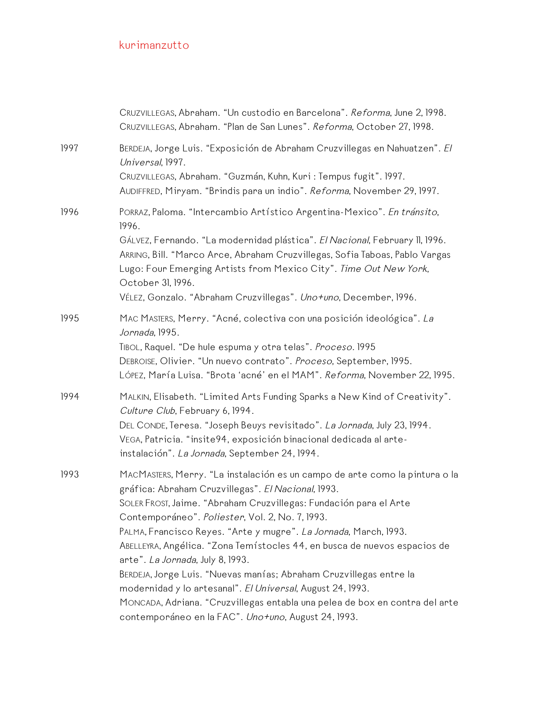|      | CRUZVILLEGAS, Abraham. "Un custodio en Barcelona". Reforma, June 2, 1998.<br>CRUZVILLEGAS, Abraham. "Plan de San Lunes". Reforma, October 27, 1998.                                                                                                                                                                                                                                                                                                                                                                                                                                                                                                                                                                      |
|------|--------------------------------------------------------------------------------------------------------------------------------------------------------------------------------------------------------------------------------------------------------------------------------------------------------------------------------------------------------------------------------------------------------------------------------------------------------------------------------------------------------------------------------------------------------------------------------------------------------------------------------------------------------------------------------------------------------------------------|
| 1997 | BERDEJA, Jorge Luis. "Exposición de Abraham Cruzvillegas en Nahuatzen". El<br>Universal, 1997.<br>CRUZVILLEGAS, Abraham. "Guzmán, Kuhn, Kuri: Tempus fugit". 1997.<br>AUDIFFRED, Miryam. "Brindis para un indio". Reforma, November 29, 1997.                                                                                                                                                                                                                                                                                                                                                                                                                                                                            |
| 1996 | PORRAZ, Paloma. "Intercambio Artístico Argentina-Mexico". En tránsito,<br>1996.<br>GÁLVEZ, Fernando. "La modernidad plástica". El Nacional, February II, 1996.<br>ARRING, Bill. "Marco Arce, Abraham Cruzvillegas, Sofia Taboas, Pablo Vargas<br>Lugo: Four Emerging Artists from Mexico City". Time Out New York,<br>October 31, 1996.<br>VÉLEZ, Gonzalo. "Abraham Cruzvillegas". Uno+uno, December, 1996.                                                                                                                                                                                                                                                                                                              |
| 1995 | MAC MASTERS, Merry. "Acné, colectiva con una posición ideológica". La<br>Jornada, 1995.<br>TIBOL, Raquel. "De hule espuma y otra telas". Proceso. 1995<br>DEBROISE, Olivier. "Un nuevo contrato". Proceso, September, 1995.<br>LÓPEZ, María Luisa. "Brota 'acné' en el MAM". Reforma, November 22, 1995.                                                                                                                                                                                                                                                                                                                                                                                                                 |
| 1994 | MALKIN, Elisabeth. "Limited Arts Funding Sparks a New Kind of Creativity".<br>Culture Club, February 6, 1994.<br>DEL CONDE, Teresa. "Joseph Beuys revisitado". La Jornada, July 23, 1994.<br>VEGA, Patricia. "insite 94, exposición binacional dedicada al arte-<br>instalación". La Jornada, September 24, 1994.                                                                                                                                                                                                                                                                                                                                                                                                        |
| 1993 | MACMASTERS, Merry. "La instalación es un campo de arte como la pintura o la<br>gráfica: Abraham Cruzvillegas". El Nacional, 1993.<br>SOLER FROST, Jaime. "Abraham Cruzvillegas: Fundación para el Arte<br>Contemporáneo". Poliester, Vol. 2, No. 7, 1993.<br>PALMA, Francisco Reyes. "Arte y mugre". La Jornada, March, 1993.<br>ABELLEYRA, Angélica. "Zona Temístocles 44, en busca de nuevos espacios de<br>arte". La Jornada, July 8, 1993.<br>BERDEJA, Jorge Luis. "Nuevas manías; Abraham Cruzvillegas entre la<br>modernidad y lo artesanal". El Universal, August 24, 1993.<br>MONCADA, Adriana. "Cruzvillegas entabla una pelea de box en contra del arte<br>contemporáneo en la FAC". Uno+uno, August 24, 1993. |